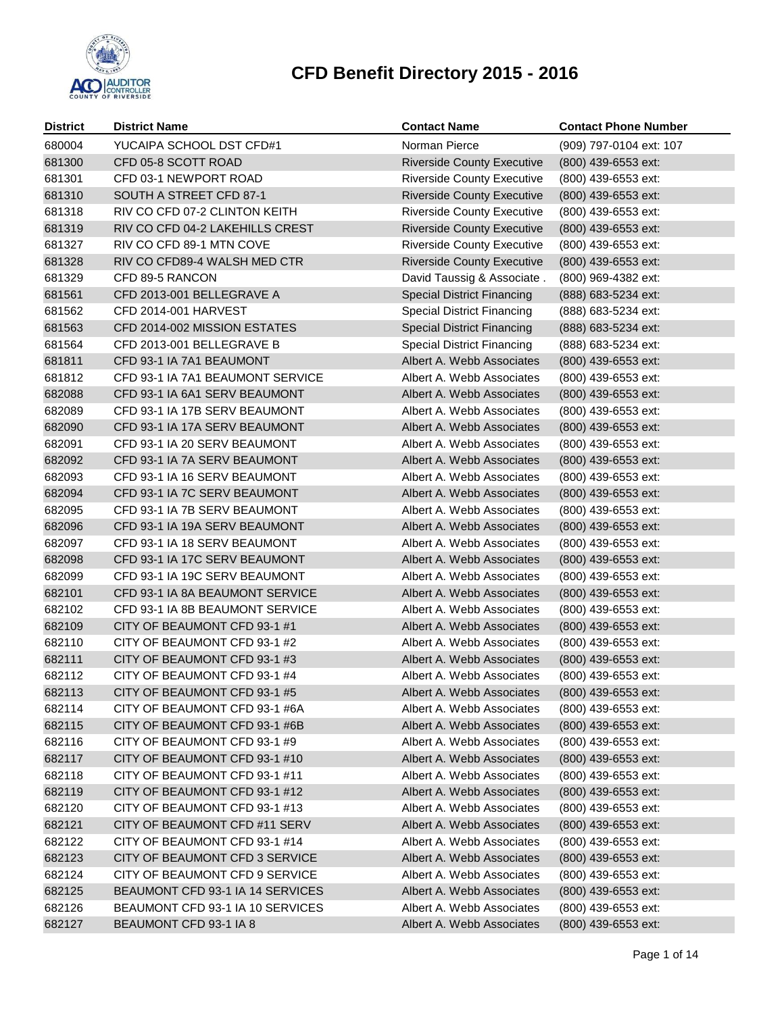

| <b>District</b>  | <b>District Name</b>                                            | <b>Contact Name</b>                                    | <b>Contact Phone Number</b>                |
|------------------|-----------------------------------------------------------------|--------------------------------------------------------|--------------------------------------------|
| 680004           | YUCAIPA SCHOOL DST CFD#1                                        | Norman Pierce                                          | (909) 797-0104 ext: 107                    |
| 681300           | CFD 05-8 SCOTT ROAD                                             | <b>Riverside County Executive</b>                      | (800) 439-6553 ext:                        |
| 681301           | CFD 03-1 NEWPORT ROAD                                           | <b>Riverside County Executive</b>                      | (800) 439-6553 ext:                        |
| 681310           | SOUTH A STREET CFD 87-1                                         | <b>Riverside County Executive</b>                      | (800) 439-6553 ext:                        |
| 681318           | RIV CO CFD 07-2 CLINTON KEITH                                   | <b>Riverside County Executive</b>                      | (800) 439-6553 ext:                        |
| 681319           | RIV CO CFD 04-2 LAKEHILLS CREST                                 | <b>Riverside County Executive</b>                      | (800) 439-6553 ext:                        |
| 681327           | RIV CO CFD 89-1 MTN COVE                                        | <b>Riverside County Executive</b>                      | (800) 439-6553 ext:                        |
| 681328           | RIV CO CFD89-4 WALSH MED CTR                                    | <b>Riverside County Executive</b>                      | (800) 439-6553 ext:                        |
| 681329           | CFD 89-5 RANCON                                                 | David Taussig & Associate.                             | (800) 969-4382 ext:                        |
| 681561           | CFD 2013-001 BELLEGRAVE A                                       | <b>Special District Financing</b>                      | (888) 683-5234 ext:                        |
| 681562           | <b>CFD 2014-001 HARVEST</b>                                     | <b>Special District Financing</b>                      | (888) 683-5234 ext:                        |
| 681563           | CFD 2014-002 MISSION ESTATES                                    | <b>Special District Financing</b>                      | (888) 683-5234 ext:                        |
| 681564           | CFD 2013-001 BELLEGRAVE B                                       | <b>Special District Financing</b>                      | (888) 683-5234 ext:                        |
| 681811           | CFD 93-1 IA 7A1 BEAUMONT                                        | Albert A. Webb Associates                              | (800) 439-6553 ext:                        |
| 681812           | CFD 93-1 IA 7A1 BEAUMONT SERVICE                                | Albert A. Webb Associates                              | (800) 439-6553 ext:                        |
| 682088           | CFD 93-1 IA 6A1 SERV BEAUMONT                                   | Albert A. Webb Associates                              | (800) 439-6553 ext:                        |
| 682089           | CFD 93-1 IA 17B SERV BEAUMONT                                   | Albert A. Webb Associates                              | (800) 439-6553 ext:                        |
| 682090           | CFD 93-1 IA 17A SERV BEAUMONT                                   | Albert A. Webb Associates                              | (800) 439-6553 ext:                        |
| 682091           | CFD 93-1 IA 20 SERV BEAUMONT                                    | Albert A. Webb Associates                              | (800) 439-6553 ext:                        |
| 682092           | CFD 93-1 IA 7A SERV BEAUMONT                                    | Albert A. Webb Associates                              | (800) 439-6553 ext:                        |
| 682093           | CFD 93-1 IA 16 SERV BEAUMONT                                    | Albert A. Webb Associates                              | (800) 439-6553 ext:                        |
| 682094           | CFD 93-1 IA 7C SERV BEAUMONT                                    | Albert A. Webb Associates                              | (800) 439-6553 ext:                        |
| 682095           | CFD 93-1 IA 7B SERV BEAUMONT                                    | Albert A. Webb Associates                              | (800) 439-6553 ext:                        |
| 682096           | CFD 93-1 IA 19A SERV BEAUMONT                                   | Albert A. Webb Associates                              | (800) 439-6553 ext:                        |
| 682097           | CFD 93-1 IA 18 SERV BEAUMONT                                    | Albert A. Webb Associates                              | (800) 439-6553 ext:                        |
| 682098           | CFD 93-1 IA 17C SERV BEAUMONT                                   | Albert A. Webb Associates                              | (800) 439-6553 ext:                        |
| 682099           | CFD 93-1 IA 19C SERV BEAUMONT                                   | Albert A. Webb Associates                              | (800) 439-6553 ext:                        |
| 682101           | CFD 93-1 IA 8A BEAUMONT SERVICE                                 | Albert A. Webb Associates                              | (800) 439-6553 ext:                        |
| 682102           | CFD 93-1 IA 8B BEAUMONT SERVICE                                 | Albert A. Webb Associates                              | (800) 439-6553 ext:                        |
| 682109           | CITY OF BEAUMONT CFD 93-1 #1                                    | Albert A. Webb Associates                              | (800) 439-6553 ext:                        |
| 682110           | CITY OF BEAUMONT CFD 93-1 #2                                    | Albert A. Webb Associates                              | (800) 439-6553 ext:                        |
| 682111           | CITY OF BEAUMONT CFD 93-1 #3                                    | Albert A. Webb Associates                              | (800) 439-6553 ext:                        |
| 682112           | CITY OF BEAUMONT CFD 93-1 #4                                    | Albert A. Webb Associates                              | (800) 439-6553 ext:                        |
| 682113           | CITY OF BEAUMONT CFD 93-1 #5                                    | Albert A. Webb Associates                              | (800) 439-6553 ext:                        |
| 682114           | CITY OF BEAUMONT CFD 93-1 #6A                                   | Albert A. Webb Associates                              | (800) 439-6553 ext:                        |
| 682115           | CITY OF BEAUMONT CFD 93-1 #6B                                   | Albert A. Webb Associates                              | (800) 439-6553 ext:                        |
| 682116           | CITY OF BEAUMONT CFD 93-1 #9                                    | Albert A. Webb Associates                              | (800) 439-6553 ext:                        |
| 682117           | CITY OF BEAUMONT CFD 93-1 #10                                   | Albert A. Webb Associates                              | (800) 439-6553 ext:                        |
| 682118           | CITY OF BEAUMONT CFD 93-1 #11                                   | Albert A. Webb Associates                              | (800) 439-6553 ext:                        |
| 682119           | CITY OF BEAUMONT CFD 93-1 #12                                   | Albert A. Webb Associates                              | (800) 439-6553 ext:                        |
| 682120           | CITY OF BEAUMONT CFD 93-1 #13                                   | Albert A. Webb Associates                              | (800) 439-6553 ext:                        |
| 682121           | CITY OF BEAUMONT CFD #11 SERV                                   | Albert A. Webb Associates                              | (800) 439-6553 ext:                        |
| 682122<br>682123 | CITY OF BEAUMONT CFD 93-1 #14<br>CITY OF BEAUMONT CFD 3 SERVICE | Albert A. Webb Associates<br>Albert A. Webb Associates | (800) 439-6553 ext:<br>(800) 439-6553 ext: |
| 682124           | CITY OF BEAUMONT CFD 9 SERVICE                                  | Albert A. Webb Associates                              | (800) 439-6553 ext:                        |
| 682125           | BEAUMONT CFD 93-1 IA 14 SERVICES                                | Albert A. Webb Associates                              | (800) 439-6553 ext:                        |
| 682126           | BEAUMONT CFD 93-1 IA 10 SERVICES                                | Albert A. Webb Associates                              | (800) 439-6553 ext:                        |
| 682127           | BEAUMONT CFD 93-1 IA 8                                          | Albert A. Webb Associates                              | (800) 439-6553 ext:                        |
|                  |                                                                 |                                                        |                                            |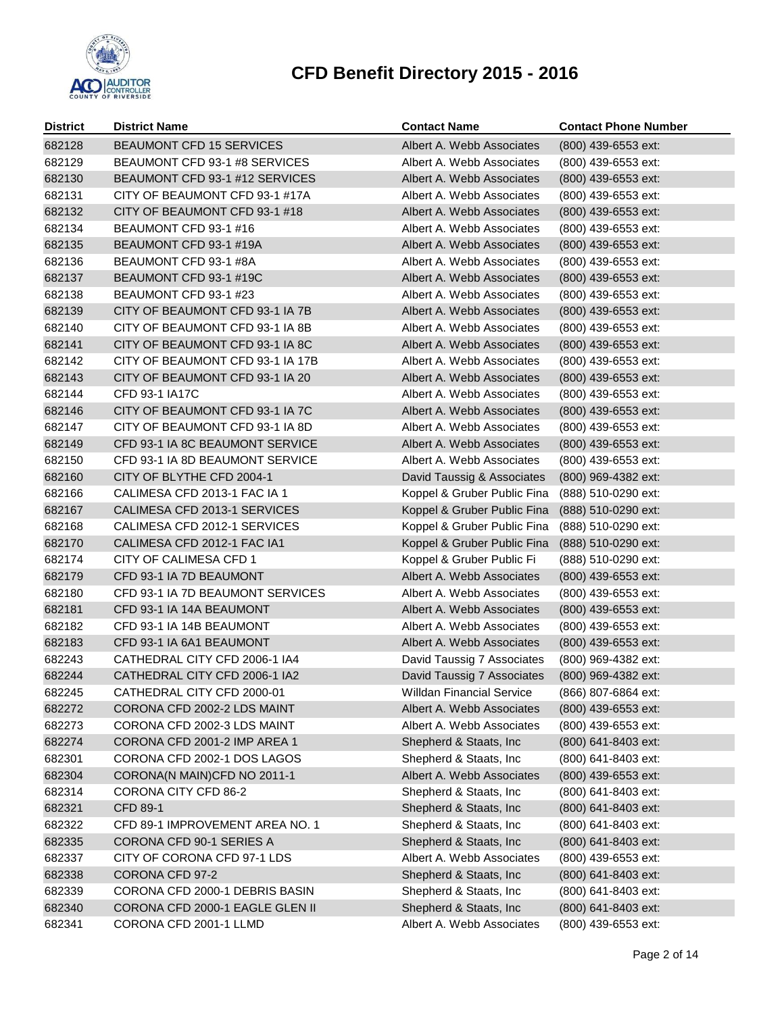

| <b>District</b> | <b>District Name</b>             | <b>Contact Name</b>         | <b>Contact Phone Number</b> |
|-----------------|----------------------------------|-----------------------------|-----------------------------|
| 682128          | BEAUMONT CFD 15 SERVICES         | Albert A. Webb Associates   | (800) 439-6553 ext:         |
| 682129          | BEAUMONT CFD 93-1 #8 SERVICES    | Albert A. Webb Associates   | (800) 439-6553 ext:         |
| 682130          | BEAUMONT CFD 93-1 #12 SERVICES   | Albert A. Webb Associates   | (800) 439-6553 ext:         |
| 682131          | CITY OF BEAUMONT CFD 93-1 #17A   | Albert A. Webb Associates   | (800) 439-6553 ext:         |
| 682132          | CITY OF BEAUMONT CFD 93-1 #18    | Albert A. Webb Associates   | (800) 439-6553 ext:         |
| 682134          | BEAUMONT CFD 93-1 #16            | Albert A. Webb Associates   | (800) 439-6553 ext:         |
| 682135          | BEAUMONT CFD 93-1 #19A           | Albert A. Webb Associates   | (800) 439-6553 ext:         |
| 682136          | BEAUMONT CFD 93-1 #8A            | Albert A. Webb Associates   | (800) 439-6553 ext:         |
| 682137          | BEAUMONT CFD 93-1 #19C           | Albert A. Webb Associates   | (800) 439-6553 ext:         |
| 682138          | BEAUMONT CFD 93-1 #23            | Albert A. Webb Associates   | (800) 439-6553 ext:         |
| 682139          | CITY OF BEAUMONT CFD 93-1 IA 7B  | Albert A. Webb Associates   | (800) 439-6553 ext:         |
| 682140          | CITY OF BEAUMONT CFD 93-1 IA 8B  | Albert A. Webb Associates   | (800) 439-6553 ext:         |
| 682141          | CITY OF BEAUMONT CFD 93-1 IA 8C  | Albert A. Webb Associates   | (800) 439-6553 ext:         |
| 682142          | CITY OF BEAUMONT CFD 93-1 IA 17B | Albert A. Webb Associates   | (800) 439-6553 ext:         |
| 682143          | CITY OF BEAUMONT CFD 93-1 IA 20  | Albert A. Webb Associates   | (800) 439-6553 ext:         |
| 682144          | CFD 93-1 IA17C                   | Albert A. Webb Associates   | (800) 439-6553 ext:         |
| 682146          | CITY OF BEAUMONT CFD 93-1 IA 7C  | Albert A. Webb Associates   | (800) 439-6553 ext:         |
| 682147          | CITY OF BEAUMONT CFD 93-1 IA 8D  | Albert A. Webb Associates   | (800) 439-6553 ext:         |
| 682149          | CFD 93-1 IA 8C BEAUMONT SERVICE  | Albert A. Webb Associates   | (800) 439-6553 ext:         |
| 682150          | CFD 93-1 IA 8D BEAUMONT SERVICE  | Albert A. Webb Associates   | (800) 439-6553 ext:         |
| 682160          | CITY OF BLYTHE CFD 2004-1        | David Taussig & Associates  | (800) 969-4382 ext:         |
| 682166          | CALIMESA CFD 2013-1 FAC IA 1     | Koppel & Gruber Public Fina | (888) 510-0290 ext:         |
| 682167          | CALIMESA CFD 2013-1 SERVICES     | Koppel & Gruber Public Fina | (888) 510-0290 ext:         |
| 682168          | CALIMESA CFD 2012-1 SERVICES     | Koppel & Gruber Public Fina | (888) 510-0290 ext:         |
| 682170          | CALIMESA CFD 2012-1 FAC IA1      | Koppel & Gruber Public Fina | (888) 510-0290 ext:         |
| 682174          | CITY OF CALIMESA CFD 1           | Koppel & Gruber Public Fi   | (888) 510-0290 ext:         |
| 682179          | CFD 93-1 IA 7D BEAUMONT          | Albert A. Webb Associates   | (800) 439-6553 ext:         |
| 682180          | CFD 93-1 IA 7D BEAUMONT SERVICES | Albert A. Webb Associates   | (800) 439-6553 ext:         |
| 682181          | CFD 93-1 IA 14A BEAUMONT         | Albert A. Webb Associates   | (800) 439-6553 ext:         |
| 682182          | CFD 93-1 IA 14B BEAUMONT         | Albert A. Webb Associates   | (800) 439-6553 ext:         |
| 682183          | CFD 93-1 IA 6A1 BEAUMONT         | Albert A. Webb Associates   | (800) 439-6553 ext:         |
| 682243          | CATHEDRAL CITY CFD 2006-1 IA4    | David Taussig 7 Associates  | (800) 969-4382 ext:         |
| 682244          | CATHEDRAL CITY CFD 2006-1 IA2    | David Taussig 7 Associates  | (800) 969-4382 ext:         |
| 682245          | CATHEDRAL CITY CFD 2000-01       | Willdan Financial Service   | (866) 807-6864 ext:         |
| 682272          | CORONA CFD 2002-2 LDS MAINT      | Albert A. Webb Associates   | (800) 439-6553 ext:         |
| 682273          | CORONA CFD 2002-3 LDS MAINT      | Albert A. Webb Associates   | (800) 439-6553 ext:         |
| 682274          | CORONA CFD 2001-2 IMP AREA 1     | Shepherd & Staats, Inc      | (800) 641-8403 ext:         |
| 682301          | CORONA CFD 2002-1 DOS LAGOS      | Shepherd & Staats, Inc      | (800) 641-8403 ext:         |
| 682304          | CORONA(N MAIN)CFD NO 2011-1      | Albert A. Webb Associates   | (800) 439-6553 ext:         |
| 682314          | CORONA CITY CFD 86-2             | Shepherd & Staats, Inc      | (800) 641-8403 ext:         |
| 682321          | <b>CFD 89-1</b>                  | Shepherd & Staats, Inc.     | (800) 641-8403 ext:         |
| 682322          | CFD 89-1 IMPROVEMENT AREA NO. 1  | Shepherd & Staats, Inc      | (800) 641-8403 ext:         |
| 682335          | CORONA CFD 90-1 SERIES A         | Shepherd & Staats, Inc      | (800) 641-8403 ext:         |
| 682337          | CITY OF CORONA CFD 97-1 LDS      | Albert A. Webb Associates   | (800) 439-6553 ext:         |
| 682338          | CORONA CFD 97-2                  | Shepherd & Staats, Inc      | (800) 641-8403 ext:         |
| 682339          | CORONA CFD 2000-1 DEBRIS BASIN   | Shepherd & Staats, Inc      | (800) 641-8403 ext:         |
| 682340          | CORONA CFD 2000-1 EAGLE GLEN II  | Shepherd & Staats, Inc      | (800) 641-8403 ext:         |
| 682341          | CORONA CFD 2001-1 LLMD           | Albert A. Webb Associates   | (800) 439-6553 ext:         |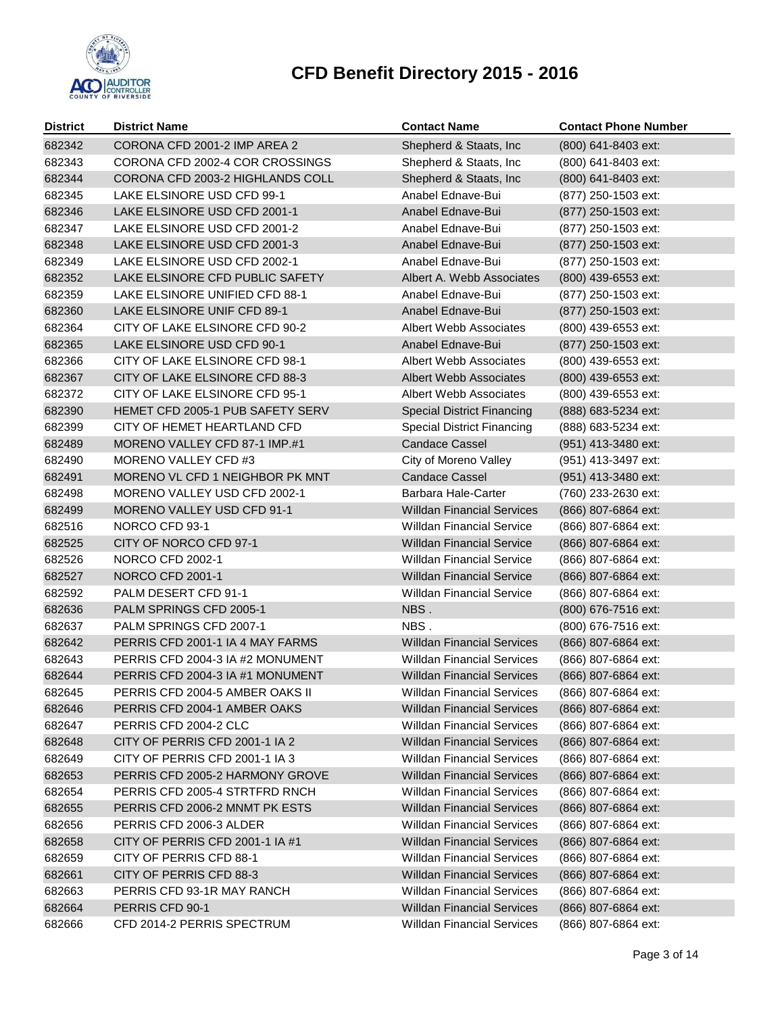

| <b>District</b> | <b>District Name</b>              | <b>Contact Name</b>               | <b>Contact Phone Number</b> |
|-----------------|-----------------------------------|-----------------------------------|-----------------------------|
| 682342          | CORONA CFD 2001-2 IMP AREA 2      | Shepherd & Staats, Inc            | (800) 641-8403 ext:         |
| 682343          | CORONA CFD 2002-4 COR CROSSINGS   | Shepherd & Staats, Inc.           | (800) 641-8403 ext:         |
| 682344          | CORONA CFD 2003-2 HIGHLANDS COLL  | Shepherd & Staats, Inc            | (800) 641-8403 ext:         |
| 682345          | LAKE ELSINORE USD CFD 99-1        | Anabel Ednave-Bui                 | (877) 250-1503 ext:         |
| 682346          | LAKE ELSINORE USD CFD 2001-1      | Anabel Ednave-Bui                 | (877) 250-1503 ext:         |
| 682347          | LAKE ELSINORE USD CFD 2001-2      | Anabel Ednave-Bui                 | (877) 250-1503 ext:         |
| 682348          | LAKE ELSINORE USD CFD 2001-3      | Anabel Ednave-Bui                 | (877) 250-1503 ext:         |
| 682349          | LAKE ELSINORE USD CFD 2002-1      | Anabel Ednave-Bui                 | (877) 250-1503 ext:         |
| 682352          | LAKE ELSINORE CFD PUBLIC SAFETY   | Albert A. Webb Associates         | (800) 439-6553 ext:         |
| 682359          | LAKE ELSINORE UNIFIED CFD 88-1    | Anabel Ednave-Bui                 | (877) 250-1503 ext:         |
| 682360          | LAKE ELSINORE UNIF CFD 89-1       | Anabel Ednave-Bui                 | (877) 250-1503 ext:         |
| 682364          | CITY OF LAKE ELSINORE CFD 90-2    | Albert Webb Associates            | (800) 439-6553 ext:         |
| 682365          | LAKE ELSINORE USD CFD 90-1        | Anabel Ednave-Bui                 | (877) 250-1503 ext:         |
| 682366          | CITY OF LAKE ELSINORE CFD 98-1    | Albert Webb Associates            | (800) 439-6553 ext:         |
| 682367          | CITY OF LAKE ELSINORE CFD 88-3    | <b>Albert Webb Associates</b>     | (800) 439-6553 ext:         |
| 682372          | CITY OF LAKE ELSINORE CFD 95-1    | Albert Webb Associates            | (800) 439-6553 ext:         |
| 682390          | HEMET CFD 2005-1 PUB SAFETY SERV  | <b>Special District Financing</b> | (888) 683-5234 ext:         |
| 682399          | CITY OF HEMET HEARTLAND CFD       | <b>Special District Financing</b> | (888) 683-5234 ext:         |
| 682489          | MORENO VALLEY CFD 87-1 IMP.#1     | <b>Candace Cassel</b>             | (951) 413-3480 ext:         |
| 682490          | MORENO VALLEY CFD #3              | City of Moreno Valley             | (951) 413-3497 ext:         |
| 682491          | MORENO VL CFD 1 NEIGHBOR PK MNT   | <b>Candace Cassel</b>             | (951) 413-3480 ext:         |
| 682498          | MORENO VALLEY USD CFD 2002-1      | Barbara Hale-Carter               | (760) 233-2630 ext:         |
| 682499          | <b>MORENO VALLEY USD CFD 91-1</b> | <b>Willdan Financial Services</b> | (866) 807-6864 ext:         |
| 682516          | NORCO CFD 93-1                    | <b>Willdan Financial Service</b>  | (866) 807-6864 ext:         |
| 682525          | CITY OF NORCO CFD 97-1            | <b>Willdan Financial Service</b>  | (866) 807-6864 ext:         |
| 682526          | NORCO CFD 2002-1                  | <b>Willdan Financial Service</b>  | (866) 807-6864 ext:         |
| 682527          | NORCO CFD 2001-1                  | <b>Willdan Financial Service</b>  | (866) 807-6864 ext:         |
| 682592          | PALM DESERT CFD 91-1              | <b>Willdan Financial Service</b>  | (866) 807-6864 ext:         |
| 682636          | PALM SPRINGS CFD 2005-1           | NBS.                              | (800) 676-7516 ext:         |
| 682637          | PALM SPRINGS CFD 2007-1           | NBS.                              | (800) 676-7516 ext:         |
| 682642          | PERRIS CFD 2001-1 IA 4 MAY FARMS  | <b>Willdan Financial Services</b> | (866) 807-6864 ext:         |
| 682643          | PERRIS CFD 2004-3 IA #2 MONUMENT  | <b>Willdan Financial Services</b> | (866) 807-6864 ext:         |
| 682644          | PERRIS CFD 2004-3 IA #1 MONUMENT  | <b>Willdan Financial Services</b> | (866) 807-6864 ext:         |
| 682645          | PERRIS CFD 2004-5 AMBER OAKS II   | <b>Willdan Financial Services</b> | (866) 807-6864 ext:         |
| 682646          | PERRIS CFD 2004-1 AMBER OAKS      | <b>Willdan Financial Services</b> | (866) 807-6864 ext:         |
| 682647          | PERRIS CFD 2004-2 CLC             | <b>Willdan Financial Services</b> | (866) 807-6864 ext:         |
| 682648          | CITY OF PERRIS CFD 2001-1 IA 2    | <b>Willdan Financial Services</b> | (866) 807-6864 ext:         |
| 682649          | CITY OF PERRIS CFD 2001-1 IA 3    | <b>Willdan Financial Services</b> | (866) 807-6864 ext:         |
| 682653          | PERRIS CFD 2005-2 HARMONY GROVE   | <b>Willdan Financial Services</b> | (866) 807-6864 ext:         |
| 682654          | PERRIS CFD 2005-4 STRTFRD RNCH    | <b>Willdan Financial Services</b> | (866) 807-6864 ext:         |
| 682655          | PERRIS CFD 2006-2 MNMT PK ESTS    | <b>Willdan Financial Services</b> | (866) 807-6864 ext:         |
| 682656          | PERRIS CFD 2006-3 ALDER           | <b>Willdan Financial Services</b> | (866) 807-6864 ext:         |
| 682658          | CITY OF PERRIS CFD 2001-1 IA #1   | <b>Willdan Financial Services</b> | (866) 807-6864 ext:         |
| 682659          | CITY OF PERRIS CFD 88-1           | <b>Willdan Financial Services</b> | (866) 807-6864 ext:         |
| 682661          | CITY OF PERRIS CFD 88-3           | <b>Willdan Financial Services</b> | (866) 807-6864 ext:         |
| 682663          | PERRIS CFD 93-1R MAY RANCH        | <b>Willdan Financial Services</b> | (866) 807-6864 ext:         |
| 682664          | PERRIS CFD 90-1                   | <b>Willdan Financial Services</b> | (866) 807-6864 ext:         |
| 682666          | CFD 2014-2 PERRIS SPECTRUM        | <b>Willdan Financial Services</b> | (866) 807-6864 ext:         |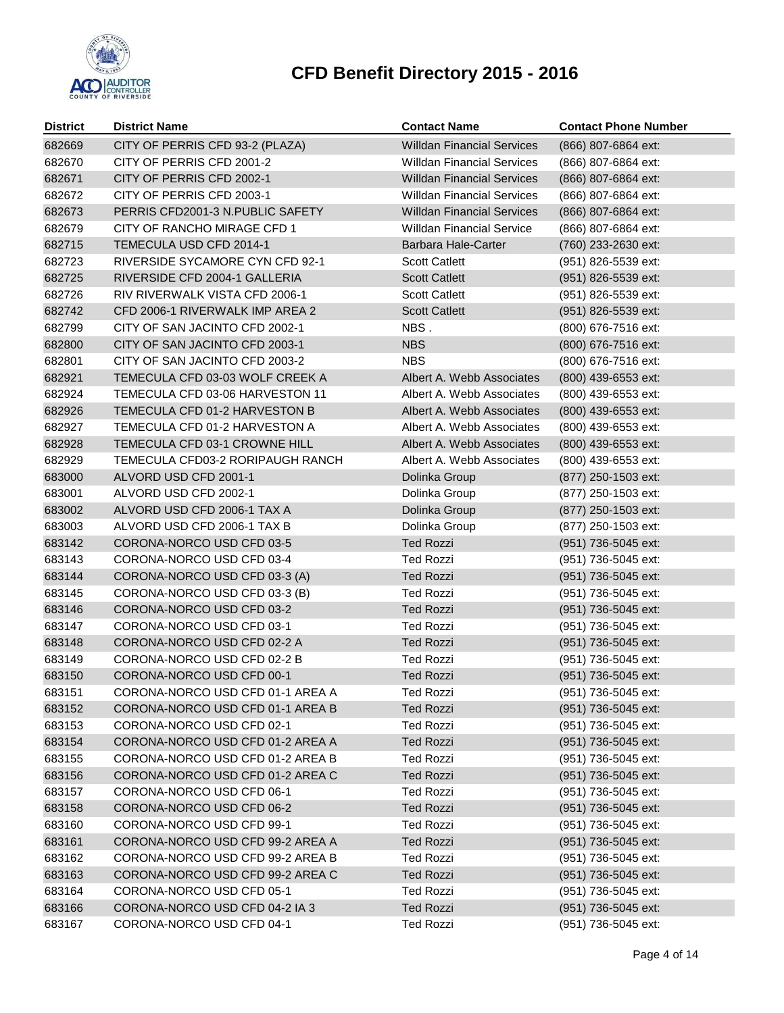

| <b>District</b> | <b>District Name</b>                   | <b>Contact Name</b>               | <b>Contact Phone Number</b> |
|-----------------|----------------------------------------|-----------------------------------|-----------------------------|
| 682669          | CITY OF PERRIS CFD 93-2 (PLAZA)        | <b>Willdan Financial Services</b> | (866) 807-6864 ext:         |
| 682670          | CITY OF PERRIS CFD 2001-2              | <b>Willdan Financial Services</b> | (866) 807-6864 ext:         |
| 682671          | CITY OF PERRIS CFD 2002-1              | <b>Willdan Financial Services</b> | (866) 807-6864 ext:         |
| 682672          | CITY OF PERRIS CFD 2003-1              | <b>Willdan Financial Services</b> | (866) 807-6864 ext:         |
| 682673          | PERRIS CFD2001-3 N.PUBLIC SAFETY       | <b>Willdan Financial Services</b> | (866) 807-6864 ext:         |
| 682679          | CITY OF RANCHO MIRAGE CFD 1            | <b>Willdan Financial Service</b>  | (866) 807-6864 ext:         |
| 682715          | TEMECULA USD CFD 2014-1                | <b>Barbara Hale-Carter</b>        | (760) 233-2630 ext:         |
| 682723          | <b>RIVERSIDE SYCAMORE CYN CFD 92-1</b> | <b>Scott Catlett</b>              | (951) 826-5539 ext:         |
| 682725          | RIVERSIDE CFD 2004-1 GALLERIA          | <b>Scott Catlett</b>              | (951) 826-5539 ext:         |
| 682726          | RIV RIVERWALK VISTA CFD 2006-1         | <b>Scott Catlett</b>              | (951) 826-5539 ext:         |
| 682742          | CFD 2006-1 RIVERWALK IMP AREA 2        | <b>Scott Catlett</b>              | (951) 826-5539 ext:         |
| 682799          | CITY OF SAN JACINTO CFD 2002-1         | NBS.                              | (800) 676-7516 ext:         |
| 682800          | CITY OF SAN JACINTO CFD 2003-1         | <b>NBS</b>                        | (800) 676-7516 ext:         |
| 682801          | CITY OF SAN JACINTO CFD 2003-2         | <b>NBS</b>                        | (800) 676-7516 ext:         |
| 682921          | TEMECULA CFD 03-03 WOLF CREEK A        | Albert A. Webb Associates         | (800) 439-6553 ext:         |
| 682924          | TEMECULA CFD 03-06 HARVESTON 11        | Albert A. Webb Associates         | (800) 439-6553 ext:         |
| 682926          | TEMECULA CFD 01-2 HARVESTON B          | Albert A. Webb Associates         | (800) 439-6553 ext:         |
| 682927          | TEMECULA CFD 01-2 HARVESTON A          | Albert A. Webb Associates         | (800) 439-6553 ext:         |
| 682928          | TEMECULA CFD 03-1 CROWNE HILL          | Albert A. Webb Associates         | (800) 439-6553 ext:         |
| 682929          | TEMECULA CFD03-2 RORIPAUGH RANCH       | Albert A. Webb Associates         | (800) 439-6553 ext:         |
| 683000          | ALVORD USD CFD 2001-1                  | Dolinka Group                     | (877) 250-1503 ext:         |
| 683001          | ALVORD USD CFD 2002-1                  | Dolinka Group                     | (877) 250-1503 ext:         |
| 683002          | ALVORD USD CFD 2006-1 TAX A            | Dolinka Group                     | (877) 250-1503 ext:         |
| 683003          | ALVORD USD CFD 2006-1 TAX B            | Dolinka Group                     | (877) 250-1503 ext:         |
| 683142          | CORONA-NORCO USD CFD 03-5              | <b>Ted Rozzi</b>                  | (951) 736-5045 ext:         |
| 683143          | CORONA-NORCO USD CFD 03-4              | <b>Ted Rozzi</b>                  | (951) 736-5045 ext:         |
| 683144          | CORONA-NORCO USD CFD 03-3 (A)          | <b>Ted Rozzi</b>                  | (951) 736-5045 ext:         |
| 683145          | CORONA-NORCO USD CFD 03-3 (B)          | <b>Ted Rozzi</b>                  | (951) 736-5045 ext:         |
| 683146          | CORONA-NORCO USD CFD 03-2              | <b>Ted Rozzi</b>                  | (951) 736-5045 ext:         |
| 683147          | CORONA-NORCO USD CFD 03-1              | <b>Ted Rozzi</b>                  | (951) 736-5045 ext:         |
| 683148          | CORONA-NORCO USD CFD 02-2 A            | <b>Ted Rozzi</b>                  | (951) 736-5045 ext:         |
| 683149          | CORONA-NORCO USD CFD 02-2 B            | <b>Ted Rozzi</b>                  | (951) 736-5045 ext:         |
| 683150          | CORONA-NORCO USD CFD 00-1              | <b>Ted Rozzi</b>                  | (951) 736-5045 ext:         |
| 683151          | CORONA-NORCO USD CFD 01-1 AREA A       | <b>Ted Rozzi</b>                  | (951) 736-5045 ext:         |
| 683152          | CORONA-NORCO USD CFD 01-1 AREA B       | <b>Ted Rozzi</b>                  | (951) 736-5045 ext:         |
| 683153          | CORONA-NORCO USD CFD 02-1              | <b>Ted Rozzi</b>                  | (951) 736-5045 ext:         |
| 683154          | CORONA-NORCO USD CFD 01-2 AREA A       | <b>Ted Rozzi</b>                  | (951) 736-5045 ext:         |
| 683155          | CORONA-NORCO USD CFD 01-2 AREA B       | <b>Ted Rozzi</b>                  | (951) 736-5045 ext:         |
| 683156          | CORONA-NORCO USD CFD 01-2 AREA C       | <b>Ted Rozzi</b>                  | (951) 736-5045 ext:         |
| 683157          | CORONA-NORCO USD CFD 06-1              | <b>Ted Rozzi</b>                  | (951) 736-5045 ext:         |
| 683158          | CORONA-NORCO USD CFD 06-2              | <b>Ted Rozzi</b>                  | (951) 736-5045 ext:         |
| 683160          | CORONA-NORCO USD CFD 99-1              | <b>Ted Rozzi</b>                  | (951) 736-5045 ext:         |
| 683161          | CORONA-NORCO USD CFD 99-2 AREA A       | <b>Ted Rozzi</b>                  | (951) 736-5045 ext:         |
| 683162          | CORONA-NORCO USD CFD 99-2 AREA B       | <b>Ted Rozzi</b>                  | (951) 736-5045 ext:         |
| 683163          | CORONA-NORCO USD CFD 99-2 AREA C       | <b>Ted Rozzi</b>                  | (951) 736-5045 ext:         |
| 683164          | CORONA-NORCO USD CFD 05-1              | <b>Ted Rozzi</b>                  | (951) 736-5045 ext:         |
| 683166          | CORONA-NORCO USD CFD 04-2 IA 3         | <b>Ted Rozzi</b>                  | (951) 736-5045 ext:         |
| 683167          | CORONA-NORCO USD CFD 04-1              | <b>Ted Rozzi</b>                  | (951) 736-5045 ext:         |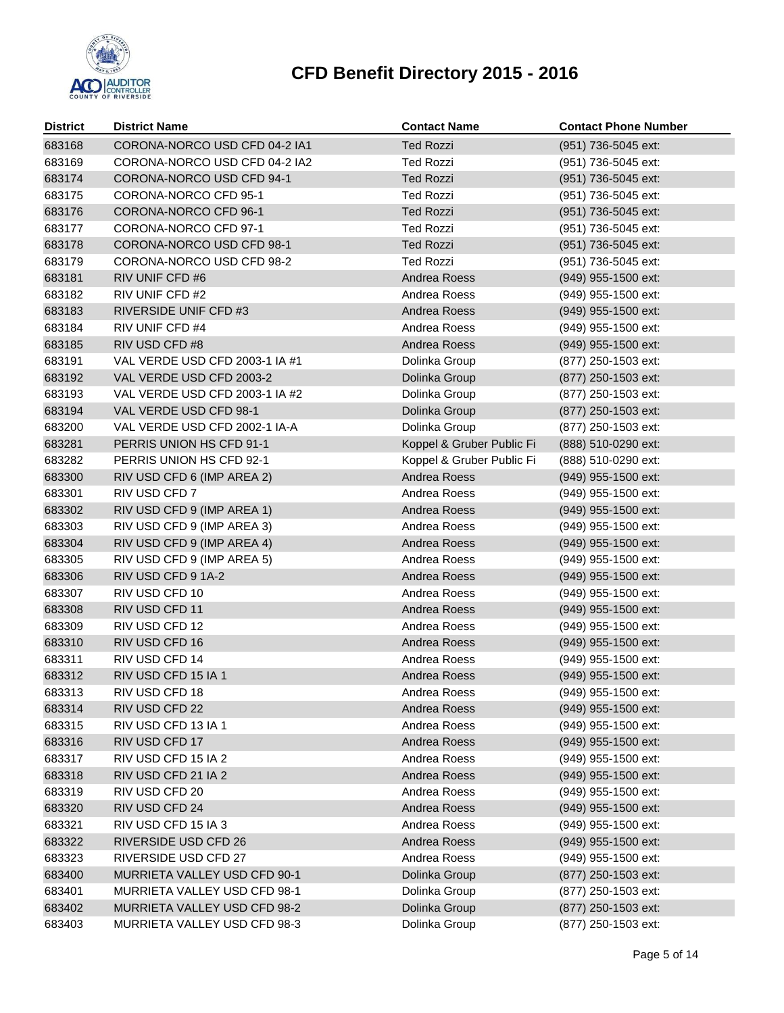

| <b>District</b> | <b>District Name</b>           | <b>Contact Name</b>       | <b>Contact Phone Number</b> |
|-----------------|--------------------------------|---------------------------|-----------------------------|
| 683168          | CORONA-NORCO USD CFD 04-2 IA1  | <b>Ted Rozzi</b>          | (951) 736-5045 ext:         |
| 683169          | CORONA-NORCO USD CFD 04-2 IA2  | <b>Ted Rozzi</b>          | (951) 736-5045 ext:         |
| 683174          | CORONA-NORCO USD CFD 94-1      | <b>Ted Rozzi</b>          | (951) 736-5045 ext:         |
| 683175          | CORONA-NORCO CFD 95-1          | <b>Ted Rozzi</b>          | (951) 736-5045 ext:         |
| 683176          | CORONA-NORCO CFD 96-1          | <b>Ted Rozzi</b>          | (951) 736-5045 ext:         |
| 683177          | CORONA-NORCO CFD 97-1          | <b>Ted Rozzi</b>          | (951) 736-5045 ext:         |
| 683178          | CORONA-NORCO USD CFD 98-1      | <b>Ted Rozzi</b>          | (951) 736-5045 ext:         |
| 683179          | CORONA-NORCO USD CFD 98-2      | <b>Ted Rozzi</b>          | (951) 736-5045 ext:         |
| 683181          | RIV UNIF CFD #6                | Andrea Roess              | (949) 955-1500 ext:         |
| 683182          | RIV UNIF CFD #2                | Andrea Roess              | (949) 955-1500 ext:         |
| 683183          | RIVERSIDE UNIF CFD #3          | Andrea Roess              | (949) 955-1500 ext:         |
| 683184          | RIV UNIF CFD #4                | Andrea Roess              | (949) 955-1500 ext:         |
| 683185          | RIV USD CFD #8                 | Andrea Roess              | (949) 955-1500 ext:         |
| 683191          | VAL VERDE USD CFD 2003-1 IA #1 | Dolinka Group             | (877) 250-1503 ext:         |
| 683192          | VAL VERDE USD CFD 2003-2       | Dolinka Group             | (877) 250-1503 ext:         |
| 683193          | VAL VERDE USD CFD 2003-1 IA #2 | Dolinka Group             | (877) 250-1503 ext:         |
| 683194          | VAL VERDE USD CFD 98-1         | Dolinka Group             | (877) 250-1503 ext:         |
| 683200          | VAL VERDE USD CFD 2002-1 IA-A  | Dolinka Group             | (877) 250-1503 ext:         |
| 683281          | PERRIS UNION HS CFD 91-1       | Koppel & Gruber Public Fi | (888) 510-0290 ext:         |
| 683282          | PERRIS UNION HS CFD 92-1       | Koppel & Gruber Public Fi | (888) 510-0290 ext:         |
| 683300          | RIV USD CFD 6 (IMP AREA 2)     | Andrea Roess              | (949) 955-1500 ext:         |
| 683301          | RIV USD CFD 7                  | Andrea Roess              | (949) 955-1500 ext:         |
| 683302          | RIV USD CFD 9 (IMP AREA 1)     | Andrea Roess              | (949) 955-1500 ext:         |
| 683303          | RIV USD CFD 9 (IMP AREA 3)     | Andrea Roess              | (949) 955-1500 ext:         |
| 683304          | RIV USD CFD 9 (IMP AREA 4)     | Andrea Roess              | (949) 955-1500 ext:         |
| 683305          | RIV USD CFD 9 (IMP AREA 5)     | Andrea Roess              | (949) 955-1500 ext:         |
| 683306          | RIV USD CFD 9 1A-2             | Andrea Roess              | (949) 955-1500 ext:         |
| 683307          | RIV USD CFD 10                 | Andrea Roess              | (949) 955-1500 ext:         |
| 683308          | RIV USD CFD 11                 | Andrea Roess              | (949) 955-1500 ext:         |
| 683309          | RIV USD CFD 12                 | Andrea Roess              | (949) 955-1500 ext:         |
| 683310          | RIV USD CFD 16                 | Andrea Roess              | (949) 955-1500 ext:         |
| 683311          | RIV USD CFD 14                 | Andrea Roess              | (949) 955-1500 ext:         |
| 683312          | RIV USD CFD 15 IA 1            | Andrea Roess              | (949) 955-1500 ext:         |
| 683313          | RIV USD CFD 18                 | Andrea Roess              | (949) 955-1500 ext:         |
| 683314          | RIV USD CFD 22                 | Andrea Roess              | (949) 955-1500 ext:         |
| 683315          | RIV USD CFD 13 IA 1            | Andrea Roess              | (949) 955-1500 ext:         |
| 683316          | RIV USD CFD 17                 | Andrea Roess              | (949) 955-1500 ext:         |
| 683317          | RIV USD CFD 15 IA 2            | Andrea Roess              | (949) 955-1500 ext:         |
| 683318          | RIV USD CFD 21 IA 2            | Andrea Roess              | (949) 955-1500 ext:         |
| 683319          | RIV USD CFD 20                 | Andrea Roess              | (949) 955-1500 ext:         |
| 683320          | RIV USD CFD 24                 | Andrea Roess              | (949) 955-1500 ext:         |
| 683321          | RIV USD CFD 15 IA 3            | Andrea Roess              | (949) 955-1500 ext:         |
| 683322          | RIVERSIDE USD CFD 26           | Andrea Roess              | (949) 955-1500 ext:         |
| 683323          | RIVERSIDE USD CFD 27           | Andrea Roess              | (949) 955-1500 ext:         |
| 683400          | MURRIETA VALLEY USD CFD 90-1   | Dolinka Group             | (877) 250-1503 ext:         |
| 683401          | MURRIETA VALLEY USD CFD 98-1   | Dolinka Group             | (877) 250-1503 ext:         |
| 683402          | MURRIETA VALLEY USD CFD 98-2   | Dolinka Group             | (877) 250-1503 ext:         |
| 683403          | MURRIETA VALLEY USD CFD 98-3   | Dolinka Group             | (877) 250-1503 ext:         |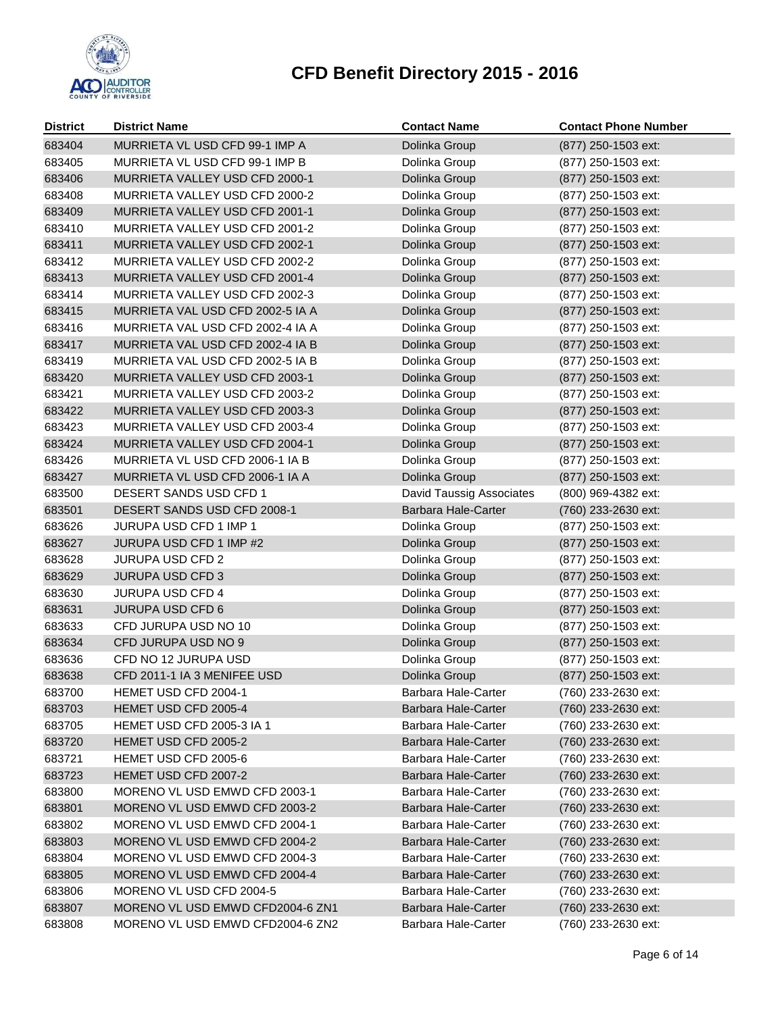

| <b>District</b> | <b>District Name</b>             | <b>Contact Name</b>                        | <b>Contact Phone Number</b> |
|-----------------|----------------------------------|--------------------------------------------|-----------------------------|
| 683404          | MURRIETA VL USD CFD 99-1 IMP A   | Dolinka Group                              | (877) 250-1503 ext:         |
| 683405          | MURRIETA VL USD CFD 99-1 IMP B   | Dolinka Group                              | (877) 250-1503 ext:         |
| 683406          | MURRIETA VALLEY USD CFD 2000-1   | Dolinka Group                              | (877) 250-1503 ext:         |
| 683408          | MURRIETA VALLEY USD CFD 2000-2   | Dolinka Group                              | (877) 250-1503 ext:         |
| 683409          | MURRIETA VALLEY USD CFD 2001-1   | Dolinka Group                              | (877) 250-1503 ext:         |
| 683410          | MURRIETA VALLEY USD CFD 2001-2   | Dolinka Group                              | (877) 250-1503 ext:         |
| 683411          | MURRIETA VALLEY USD CFD 2002-1   | Dolinka Group                              | (877) 250-1503 ext:         |
| 683412          | MURRIETA VALLEY USD CFD 2002-2   | Dolinka Group                              | (877) 250-1503 ext:         |
| 683413          | MURRIETA VALLEY USD CFD 2001-4   | Dolinka Group                              | (877) 250-1503 ext:         |
| 683414          | MURRIETA VALLEY USD CFD 2002-3   | Dolinka Group                              | (877) 250-1503 ext:         |
| 683415          | MURRIETA VAL USD CFD 2002-5 IA A | Dolinka Group                              | (877) 250-1503 ext:         |
| 683416          | MURRIETA VAL USD CFD 2002-4 IA A | Dolinka Group                              | (877) 250-1503 ext:         |
| 683417          | MURRIETA VAL USD CFD 2002-4 IA B | Dolinka Group                              | (877) 250-1503 ext:         |
| 683419          | MURRIETA VAL USD CFD 2002-5 IA B | Dolinka Group                              | (877) 250-1503 ext:         |
| 683420          | MURRIETA VALLEY USD CFD 2003-1   | Dolinka Group                              | (877) 250-1503 ext:         |
| 683421          | MURRIETA VALLEY USD CFD 2003-2   | Dolinka Group                              | (877) 250-1503 ext:         |
| 683422          | MURRIETA VALLEY USD CFD 2003-3   | Dolinka Group                              | (877) 250-1503 ext:         |
| 683423          | MURRIETA VALLEY USD CFD 2003-4   | Dolinka Group                              | (877) 250-1503 ext:         |
| 683424          | MURRIETA VALLEY USD CFD 2004-1   | Dolinka Group                              | (877) 250-1503 ext:         |
| 683426          | MURRIETA VL USD CFD 2006-1 IA B  | Dolinka Group                              | (877) 250-1503 ext:         |
| 683427          | MURRIETA VL USD CFD 2006-1 IA A  | Dolinka Group                              | (877) 250-1503 ext:         |
| 683500          | DESERT SANDS USD CFD 1           | David Taussig Associates                   | (800) 969-4382 ext:         |
| 683501          | DESERT SANDS USD CFD 2008-1      | Barbara Hale-Carter                        | (760) 233-2630 ext:         |
| 683626          | JURUPA USD CFD 1 IMP 1           | Dolinka Group                              | (877) 250-1503 ext:         |
| 683627          | JURUPA USD CFD 1 IMP #2          | Dolinka Group                              | (877) 250-1503 ext:         |
| 683628          | <b>JURUPA USD CFD 2</b>          | Dolinka Group                              | (877) 250-1503 ext:         |
| 683629          | <b>JURUPA USD CFD 3</b>          | Dolinka Group                              | (877) 250-1503 ext:         |
| 683630          | <b>JURUPA USD CFD 4</b>          | Dolinka Group                              | (877) 250-1503 ext:         |
| 683631          | <b>JURUPA USD CFD 6</b>          | Dolinka Group                              | (877) 250-1503 ext:         |
| 683633          | CFD JURUPA USD NO 10             | Dolinka Group                              | (877) 250-1503 ext:         |
| 683634          | CFD JURUPA USD NO 9              | Dolinka Group                              | (877) 250-1503 ext:         |
| 683636          | CFD NO 12 JURUPA USD             | Dolinka Group                              | (877) 250-1503 ext:         |
| 683638          | CFD 2011-1 IA 3 MENIFEE USD      | Dolinka Group                              | (877) 250-1503 ext:         |
| 683700          | HEMET USD CFD 2004-1             | Barbara Hale-Carter                        | (760) 233-2630 ext:         |
| 683703          | HEMET USD CFD 2005-4             | <b>Barbara Hale-Carter</b>                 | (760) 233-2630 ext:         |
| 683705          | HEMET USD CFD 2005-3 IA 1        | Barbara Hale-Carter                        | (760) 233-2630 ext:         |
| 683720          | HEMET USD CFD 2005-2             | Barbara Hale-Carter                        | (760) 233-2630 ext:         |
| 683721          | HEMET USD CFD 2005-6             | Barbara Hale-Carter                        | (760) 233-2630 ext:         |
| 683723          | HEMET USD CFD 2007-2             | <b>Barbara Hale-Carter</b>                 | (760) 233-2630 ext:         |
| 683800          | MORENO VL USD EMWD CFD 2003-1    | Barbara Hale-Carter                        | (760) 233-2630 ext:         |
| 683801          | MORENO VL USD EMWD CFD 2003-2    | Barbara Hale-Carter                        | (760) 233-2630 ext:         |
| 683802          | MORENO VL USD EMWD CFD 2004-1    | Barbara Hale-Carter                        | (760) 233-2630 ext:         |
| 683803          | MORENO VL USD EMWD CFD 2004-2    | Barbara Hale-Carter<br>Barbara Hale-Carter | (760) 233-2630 ext:         |
| 683804          | MORENO VL USD EMWD CFD 2004-3    |                                            | (760) 233-2630 ext:         |
| 683805          | MORENO VL USD EMWD CFD 2004-4    | <b>Barbara Hale-Carter</b>                 | (760) 233-2630 ext:         |
| 683806          | MORENO VL USD CFD 2004-5         | Barbara Hale-Carter                        | (760) 233-2630 ext:         |
| 683807          | MORENO VL USD EMWD CFD2004-6 ZN1 | Barbara Hale-Carter                        | (760) 233-2630 ext:         |
| 683808          | MORENO VL USD EMWD CFD2004-6 ZN2 | Barbara Hale-Carter                        | (760) 233-2630 ext:         |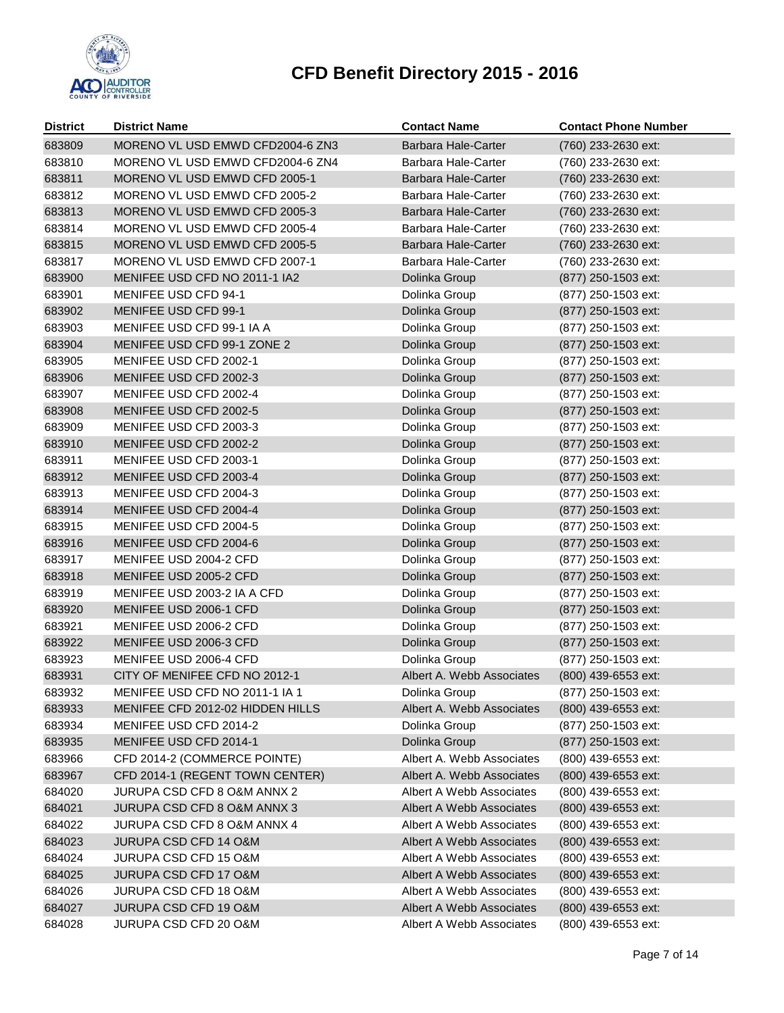

| <b>District</b> | <b>District Name</b>             | <b>Contact Name</b>        | <b>Contact Phone Number</b> |
|-----------------|----------------------------------|----------------------------|-----------------------------|
| 683809          | MORENO VL USD EMWD CFD2004-6 ZN3 | <b>Barbara Hale-Carter</b> | (760) 233-2630 ext:         |
| 683810          | MORENO VL USD EMWD CFD2004-6 ZN4 | Barbara Hale-Carter        | (760) 233-2630 ext:         |
| 683811          | MORENO VL USD EMWD CFD 2005-1    | Barbara Hale-Carter        | (760) 233-2630 ext:         |
| 683812          | MORENO VL USD EMWD CFD 2005-2    | Barbara Hale-Carter        | (760) 233-2630 ext:         |
| 683813          | MORENO VL USD EMWD CFD 2005-3    | Barbara Hale-Carter        | (760) 233-2630 ext:         |
| 683814          | MORENO VL USD EMWD CFD 2005-4    | Barbara Hale-Carter        | (760) 233-2630 ext:         |
| 683815          | MORENO VL USD EMWD CFD 2005-5    | <b>Barbara Hale-Carter</b> | (760) 233-2630 ext:         |
| 683817          | MORENO VL USD EMWD CFD 2007-1    | Barbara Hale-Carter        | (760) 233-2630 ext:         |
| 683900          | MENIFEE USD CFD NO 2011-1 IA2    | Dolinka Group              | (877) 250-1503 ext:         |
| 683901          | MENIFEE USD CFD 94-1             | Dolinka Group              | (877) 250-1503 ext:         |
| 683902          | MENIFEE USD CFD 99-1             | Dolinka Group              | (877) 250-1503 ext:         |
| 683903          | MENIFEE USD CFD 99-1 IA A        | Dolinka Group              | (877) 250-1503 ext:         |
| 683904          | MENIFEE USD CFD 99-1 ZONE 2      | Dolinka Group              | (877) 250-1503 ext:         |
| 683905          | MENIFEE USD CFD 2002-1           | Dolinka Group              | (877) 250-1503 ext:         |
| 683906          | MENIFEE USD CFD 2002-3           | Dolinka Group              | (877) 250-1503 ext:         |
| 683907          | MENIFEE USD CFD 2002-4           | Dolinka Group              | (877) 250-1503 ext:         |
| 683908          | MENIFEE USD CFD 2002-5           | Dolinka Group              | (877) 250-1503 ext:         |
| 683909          | MENIFEE USD CFD 2003-3           | Dolinka Group              | (877) 250-1503 ext:         |
| 683910          | MENIFEE USD CFD 2002-2           | Dolinka Group              | (877) 250-1503 ext:         |
| 683911          | MENIFEE USD CFD 2003-1           | Dolinka Group              | (877) 250-1503 ext:         |
| 683912          | MENIFEE USD CFD 2003-4           | Dolinka Group              | (877) 250-1503 ext:         |
| 683913          | MENIFEE USD CFD 2004-3           | Dolinka Group              | (877) 250-1503 ext:         |
| 683914          | MENIFEE USD CFD 2004-4           | Dolinka Group              | (877) 250-1503 ext:         |
| 683915          | MENIFEE USD CFD 2004-5           | Dolinka Group              | (877) 250-1503 ext:         |
| 683916          | MENIFEE USD CFD 2004-6           | Dolinka Group              | (877) 250-1503 ext:         |
| 683917          | MENIFEE USD 2004-2 CFD           | Dolinka Group              | (877) 250-1503 ext:         |
| 683918          | MENIFEE USD 2005-2 CFD           | Dolinka Group              | (877) 250-1503 ext:         |
| 683919          | MENIFEE USD 2003-2 IA A CFD      | Dolinka Group              | (877) 250-1503 ext:         |
| 683920          | MENIFEE USD 2006-1 CFD           | Dolinka Group              | (877) 250-1503 ext:         |
| 683921          | MENIFEE USD 2006-2 CFD           | Dolinka Group              | (877) 250-1503 ext:         |
| 683922          | MENIFEE USD 2006-3 CFD           | Dolinka Group              | (877) 250-1503 ext:         |
| 683923          | MENIFEE USD 2006-4 CFD           | Dolinka Group              | (877) 250-1503 ext:         |
| 683931          | CITY OF MENIFEE CFD NO 2012-1    | Albert A. Webb Associates  | (800) 439-6553 ext:         |
| 683932          | MENIFEE USD CFD NO 2011-1 IA 1   | Dolinka Group              | (877) 250-1503 ext:         |
| 683933          | MENIFEE CFD 2012-02 HIDDEN HILLS | Albert A. Webb Associates  | (800) 439-6553 ext:         |
| 683934          | MENIFEE USD CFD 2014-2           | Dolinka Group              | (877) 250-1503 ext:         |
| 683935          | MENIFEE USD CFD 2014-1           | Dolinka Group              | (877) 250-1503 ext:         |
| 683966          | CFD 2014-2 (COMMERCE POINTE)     | Albert A. Webb Associates  | (800) 439-6553 ext:         |
| 683967          | CFD 2014-1 (REGENT TOWN CENTER)  | Albert A. Webb Associates  | (800) 439-6553 ext:         |
| 684020          | JURUPA CSD CFD 8 O&M ANNX 2      | Albert A Webb Associates   | (800) 439-6553 ext:         |
| 684021          | JURUPA CSD CFD 8 O&M ANNX 3      | Albert A Webb Associates   | (800) 439-6553 ext:         |
| 684022          | JURUPA CSD CFD 8 O&M ANNX 4      | Albert A Webb Associates   | (800) 439-6553 ext:         |
| 684023          | <b>JURUPA CSD CFD 14 O&amp;M</b> | Albert A Webb Associates   | (800) 439-6553 ext:         |
| 684024          | JURUPA CSD CFD 15 O&M            | Albert A Webb Associates   | (800) 439-6553 ext:         |
| 684025          | <b>JURUPA CSD CFD 17 O&amp;M</b> | Albert A Webb Associates   | (800) 439-6553 ext:         |
| 684026          | JURUPA CSD CFD 18 O&M            | Albert A Webb Associates   | (800) 439-6553 ext:         |
| 684027          | JURUPA CSD CFD 19 O&M            | Albert A Webb Associates   | (800) 439-6553 ext:         |
| 684028          | JURUPA CSD CFD 20 O&M            | Albert A Webb Associates   | (800) 439-6553 ext:         |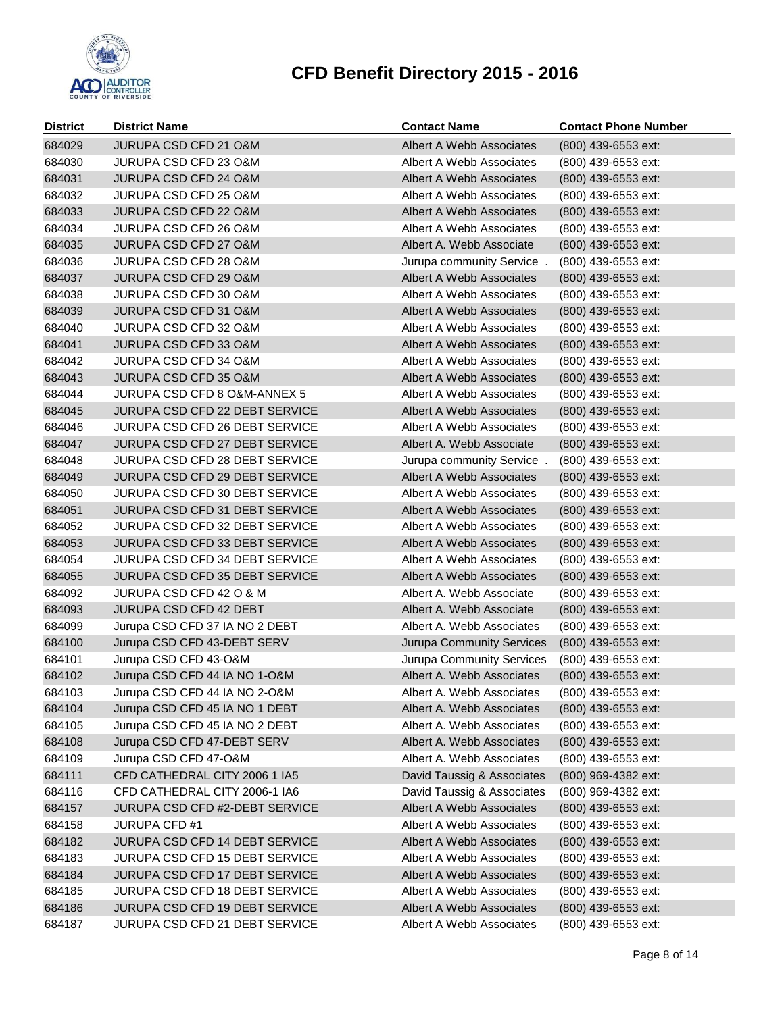

| <b>District</b> | <b>District Name</b>                  | <b>Contact Name</b>              | <b>Contact Phone Number</b> |
|-----------------|---------------------------------------|----------------------------------|-----------------------------|
| 684029          | JURUPA CSD CFD 21 O&M                 | Albert A Webb Associates         | (800) 439-6553 ext:         |
| 684030          | JURUPA CSD CFD 23 O&M                 | Albert A Webb Associates         | (800) 439-6553 ext:         |
| 684031          | JURUPA CSD CFD 24 O&M                 | Albert A Webb Associates         | (800) 439-6553 ext:         |
| 684032          | JURUPA CSD CFD 25 O&M                 | Albert A Webb Associates         | (800) 439-6553 ext:         |
| 684033          | JURUPA CSD CFD 22 O&M                 | Albert A Webb Associates         | (800) 439-6553 ext:         |
| 684034          | JURUPA CSD CFD 26 O&M                 | Albert A Webb Associates         | (800) 439-6553 ext:         |
| 684035          | JURUPA CSD CFD 27 O&M                 | Albert A. Webb Associate         | (800) 439-6553 ext:         |
| 684036          | <b>JURUPA CSD CFD 28 O&amp;M</b>      | Jurupa community Service.        | (800) 439-6553 ext:         |
| 684037          | <b>JURUPA CSD CFD 29 O&amp;M</b>      | Albert A Webb Associates         | (800) 439-6553 ext:         |
| 684038          | JURUPA CSD CFD 30 O&M                 | Albert A Webb Associates         | (800) 439-6553 ext:         |
| 684039          | <b>JURUPA CSD CFD 31 O&amp;M</b>      | Albert A Webb Associates         | (800) 439-6553 ext:         |
| 684040          | JURUPA CSD CFD 32 O&M                 | Albert A Webb Associates         | (800) 439-6553 ext:         |
| 684041          | <b>JURUPA CSD CFD 33 O&amp;M</b>      | Albert A Webb Associates         | (800) 439-6553 ext:         |
| 684042          | JURUPA CSD CFD 34 O&M                 | Albert A Webb Associates         | (800) 439-6553 ext:         |
| 684043          | <b>JURUPA CSD CFD 35 O&amp;M</b>      | Albert A Webb Associates         | (800) 439-6553 ext:         |
| 684044          | JURUPA CSD CFD 8 O&M-ANNEX 5          | Albert A Webb Associates         | (800) 439-6553 ext:         |
| 684045          | JURUPA CSD CFD 22 DEBT SERVICE        | Albert A Webb Associates         | (800) 439-6553 ext:         |
| 684046          | JURUPA CSD CFD 26 DEBT SERVICE        | Albert A Webb Associates         | (800) 439-6553 ext:         |
| 684047          | JURUPA CSD CFD 27 DEBT SERVICE        | Albert A. Webb Associate         | (800) 439-6553 ext:         |
| 684048          | <b>JURUPA CSD CFD 28 DEBT SERVICE</b> | Jurupa community Service.        | (800) 439-6553 ext:         |
| 684049          | JURUPA CSD CFD 29 DEBT SERVICE        | Albert A Webb Associates         | (800) 439-6553 ext:         |
| 684050          | JURUPA CSD CFD 30 DEBT SERVICE        | Albert A Webb Associates         | (800) 439-6553 ext:         |
| 684051          | <b>JURUPA CSD CFD 31 DEBT SERVICE</b> | Albert A Webb Associates         | (800) 439-6553 ext:         |
| 684052          | <b>JURUPA CSD CFD 32 DEBT SERVICE</b> | Albert A Webb Associates         | (800) 439-6553 ext:         |
| 684053          | JURUPA CSD CFD 33 DEBT SERVICE        | Albert A Webb Associates         | (800) 439-6553 ext:         |
| 684054          | JURUPA CSD CFD 34 DEBT SERVICE        | Albert A Webb Associates         | (800) 439-6553 ext:         |
| 684055          | JURUPA CSD CFD 35 DEBT SERVICE        | Albert A Webb Associates         | (800) 439-6553 ext:         |
| 684092          | JURUPA CSD CFD 42 O & M               | Albert A. Webb Associate         | (800) 439-6553 ext:         |
| 684093          | JURUPA CSD CFD 42 DEBT                | Albert A. Webb Associate         | (800) 439-6553 ext:         |
| 684099          | Jurupa CSD CFD 37 IA NO 2 DEBT        | Albert A. Webb Associates        | (800) 439-6553 ext:         |
| 684100          | Jurupa CSD CFD 43-DEBT SERV           | <b>Jurupa Community Services</b> | (800) 439-6553 ext:         |
| 684101          | Jurupa CSD CFD 43-O&M                 | Jurupa Community Services        | (800) 439-6553 ext:         |
| 684102          | Jurupa CSD CFD 44 IA NO 1-O&M         | Albert A. Webb Associates        | (800) 439-6553 ext:         |
| 684103          | Jurupa CSD CFD 44 IA NO 2-O&M         | Albert A. Webb Associates        | (800) 439-6553 ext:         |
| 684104          | Jurupa CSD CFD 45 IA NO 1 DEBT        | Albert A. Webb Associates        | (800) 439-6553 ext:         |
| 684105          | Jurupa CSD CFD 45 IA NO 2 DEBT        | Albert A. Webb Associates        | (800) 439-6553 ext:         |
| 684108          | Jurupa CSD CFD 47-DEBT SERV           | Albert A. Webb Associates        | (800) 439-6553 ext:         |
| 684109          | Jurupa CSD CFD 47-O&M                 | Albert A. Webb Associates        | (800) 439-6553 ext:         |
| 684111          | CFD CATHEDRAL CITY 2006 1 IA5         | David Taussig & Associates       | (800) 969-4382 ext:         |
| 684116          | CFD CATHEDRAL CITY 2006-1 IA6         | David Taussig & Associates       | (800) 969-4382 ext:         |
| 684157          | JURUPA CSD CFD #2-DEBT SERVICE        | Albert A Webb Associates         | (800) 439-6553 ext:         |
| 684158          | <b>JURUPA CFD #1</b>                  | Albert A Webb Associates         | (800) 439-6553 ext:         |
| 684182          | JURUPA CSD CFD 14 DEBT SERVICE        | Albert A Webb Associates         | (800) 439-6553 ext:         |
| 684183          | JURUPA CSD CFD 15 DEBT SERVICE        | Albert A Webb Associates         | (800) 439-6553 ext:         |
| 684184          | JURUPA CSD CFD 17 DEBT SERVICE        | Albert A Webb Associates         | (800) 439-6553 ext:         |
| 684185          | JURUPA CSD CFD 18 DEBT SERVICE        | Albert A Webb Associates         | (800) 439-6553 ext:         |
| 684186          | JURUPA CSD CFD 19 DEBT SERVICE        | Albert A Webb Associates         | (800) 439-6553 ext:         |
| 684187          | JURUPA CSD CFD 21 DEBT SERVICE        | Albert A Webb Associates         | (800) 439-6553 ext:         |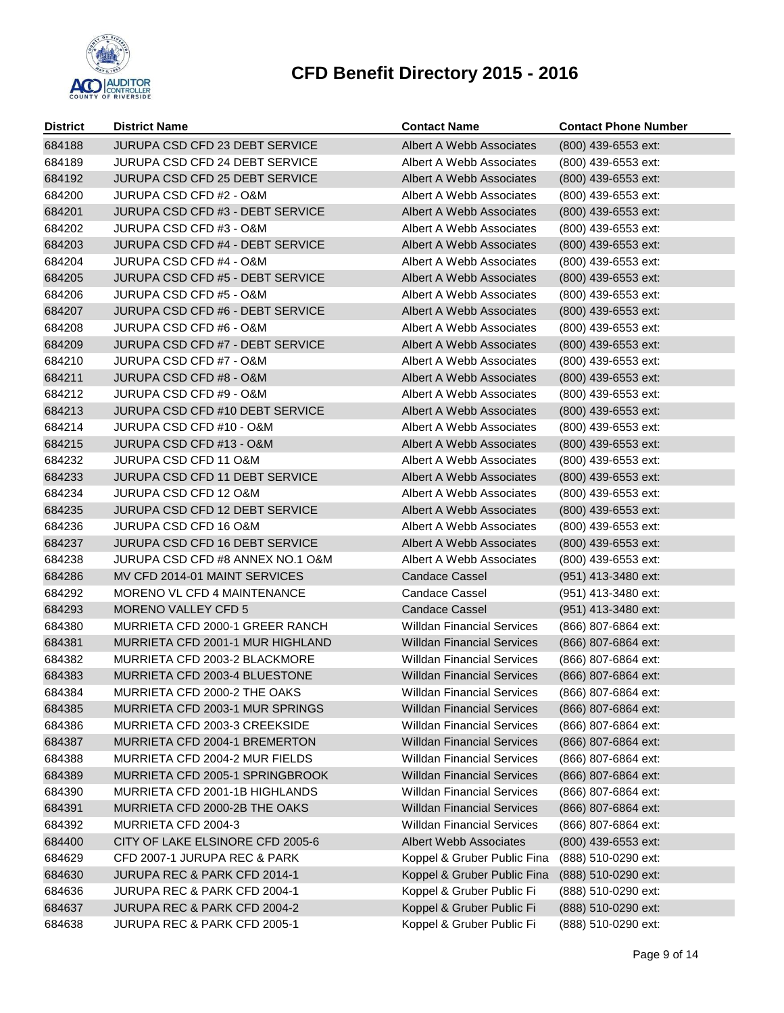

| <b>District</b> | <b>District Name</b>                    | <b>Contact Name</b>               | <b>Contact Phone Number</b> |
|-----------------|-----------------------------------------|-----------------------------------|-----------------------------|
| 684188          | JURUPA CSD CFD 23 DEBT SERVICE          | <b>Albert A Webb Associates</b>   | (800) 439-6553 ext:         |
| 684189          | <b>JURUPA CSD CFD 24 DEBT SERVICE</b>   | Albert A Webb Associates          | (800) 439-6553 ext:         |
| 684192          | <b>JURUPA CSD CFD 25 DEBT SERVICE</b>   | Albert A Webb Associates          | (800) 439-6553 ext:         |
| 684200          | JURUPA CSD CFD #2 - O&M                 | Albert A Webb Associates          | (800) 439-6553 ext:         |
| 684201          | JURUPA CSD CFD #3 - DEBT SERVICE        | Albert A Webb Associates          | (800) 439-6553 ext:         |
| 684202          | JURUPA CSD CFD #3 - O&M                 | Albert A Webb Associates          | (800) 439-6553 ext:         |
| 684203          | JURUPA CSD CFD #4 - DEBT SERVICE        | Albert A Webb Associates          | (800) 439-6553 ext:         |
| 684204          | JURUPA CSD CFD #4 - O&M                 | Albert A Webb Associates          | (800) 439-6553 ext:         |
| 684205          | <b>JURUPA CSD CFD #5 - DEBT SERVICE</b> | Albert A Webb Associates          | (800) 439-6553 ext:         |
| 684206          | JURUPA CSD CFD #5 - O&M                 | Albert A Webb Associates          | (800) 439-6553 ext:         |
| 684207          | JURUPA CSD CFD #6 - DEBT SERVICE        | Albert A Webb Associates          | (800) 439-6553 ext:         |
| 684208          | JURUPA CSD CFD #6 - O&M                 | Albert A Webb Associates          | (800) 439-6553 ext:         |
| 684209          | <b>JURUPA CSD CFD #7 - DEBT SERVICE</b> | Albert A Webb Associates          | (800) 439-6553 ext:         |
| 684210          | JURUPA CSD CFD #7 - O&M                 | Albert A Webb Associates          | (800) 439-6553 ext:         |
| 684211          | <b>JURUPA CSD CFD #8 - O&amp;M</b>      | Albert A Webb Associates          | (800) 439-6553 ext:         |
| 684212          | JURUPA CSD CFD #9 - O&M                 | Albert A Webb Associates          | (800) 439-6553 ext:         |
| 684213          | JURUPA CSD CFD #10 DEBT SERVICE         | Albert A Webb Associates          | (800) 439-6553 ext:         |
| 684214          | JURUPA CSD CFD #10 - O&M                | Albert A Webb Associates          | (800) 439-6553 ext:         |
| 684215          | JURUPA CSD CFD #13 - O&M                | Albert A Webb Associates          | (800) 439-6553 ext:         |
| 684232          | <b>JURUPA CSD CFD 11 O&amp;M</b>        | Albert A Webb Associates          | (800) 439-6553 ext:         |
| 684233          | <b>JURUPA CSD CFD 11 DEBT SERVICE</b>   | Albert A Webb Associates          | (800) 439-6553 ext:         |
| 684234          | <b>JURUPA CSD CFD 12 O&amp;M</b>        | Albert A Webb Associates          | (800) 439-6553 ext:         |
| 684235          | <b>JURUPA CSD CFD 12 DEBT SERVICE</b>   | Albert A Webb Associates          | (800) 439-6553 ext:         |
| 684236          | <b>JURUPA CSD CFD 16 O&amp;M</b>        | Albert A Webb Associates          | (800) 439-6553 ext:         |
| 684237          | JURUPA CSD CFD 16 DEBT SERVICE          | Albert A Webb Associates          | (800) 439-6553 ext:         |
| 684238          | JURUPA CSD CFD #8 ANNEX NO.1 O&M        | Albert A Webb Associates          | (800) 439-6553 ext:         |
| 684286          | MV CFD 2014-01 MAINT SERVICES           | <b>Candace Cassel</b>             | (951) 413-3480 ext:         |
| 684292          | MORENO VL CFD 4 MAINTENANCE             | Candace Cassel                    | (951) 413-3480 ext:         |
| 684293          | <b>MORENO VALLEY CFD 5</b>              | <b>Candace Cassel</b>             | (951) 413-3480 ext:         |
| 684380          | MURRIETA CFD 2000-1 GREER RANCH         | <b>Willdan Financial Services</b> | (866) 807-6864 ext:         |
| 684381          | MURRIETA CFD 2001-1 MUR HIGHLAND        | <b>Willdan Financial Services</b> | (866) 807-6864 ext:         |
| 684382          | MURRIETA CFD 2003-2 BLACKMORE           | <b>Willdan Financial Services</b> | (866) 807-6864 ext:         |
| 684383          | MURRIETA CFD 2003-4 BLUESTONE           | <b>Willdan Financial Services</b> | (866) 807-6864 ext:         |
| 684384          | MURRIETA CFD 2000-2 THE OAKS            | <b>Willdan Financial Services</b> | (866) 807-6864 ext:         |
| 684385          | MURRIETA CFD 2003-1 MUR SPRINGS         | <b>Willdan Financial Services</b> | (866) 807-6864 ext:         |
| 684386          | MURRIETA CFD 2003-3 CREEKSIDE           | <b>Willdan Financial Services</b> | (866) 807-6864 ext:         |
| 684387          | MURRIETA CFD 2004-1 BREMERTON           | <b>Willdan Financial Services</b> | (866) 807-6864 ext:         |
| 684388          | MURRIETA CFD 2004-2 MUR FIELDS          | <b>Willdan Financial Services</b> | (866) 807-6864 ext:         |
| 684389          | MURRIETA CFD 2005-1 SPRINGBROOK         | <b>Willdan Financial Services</b> | (866) 807-6864 ext:         |
| 684390          | MURRIETA CFD 2001-1B HIGHLANDS          | <b>Willdan Financial Services</b> | (866) 807-6864 ext:         |
| 684391          | MURRIETA CFD 2000-2B THE OAKS           | <b>Willdan Financial Services</b> | (866) 807-6864 ext:         |
| 684392          | MURRIETA CFD 2004-3                     | <b>Willdan Financial Services</b> | (866) 807-6864 ext:         |
| 684400          | CITY OF LAKE ELSINORE CFD 2005-6        | Albert Webb Associates            | (800) 439-6553 ext:         |
| 684629          | CFD 2007-1 JURUPA REC & PARK            | Koppel & Gruber Public Fina       | (888) 510-0290 ext:         |
| 684630          | JURUPA REC & PARK CFD 2014-1            | Koppel & Gruber Public Fina       | (888) 510-0290 ext:         |
| 684636          | JURUPA REC & PARK CFD 2004-1            | Koppel & Gruber Public Fi         | (888) 510-0290 ext:         |
| 684637          | JURUPA REC & PARK CFD 2004-2            | Koppel & Gruber Public Fi         | (888) 510-0290 ext:         |
| 684638          | JURUPA REC & PARK CFD 2005-1            | Koppel & Gruber Public Fi         | (888) 510-0290 ext:         |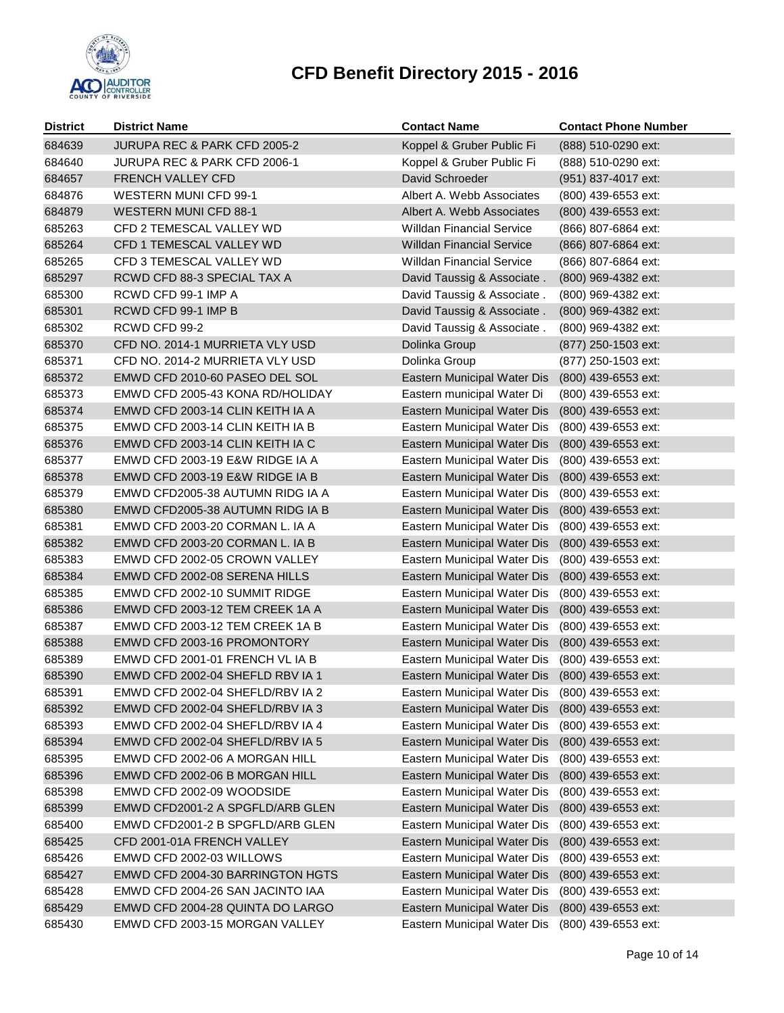

| <b>District</b>  | <b>District Name</b>                                                | <b>Contact Name</b>                                                            | <b>Contact Phone Number</b> |
|------------------|---------------------------------------------------------------------|--------------------------------------------------------------------------------|-----------------------------|
| 684639           | JURUPA REC & PARK CFD 2005-2                                        | Koppel & Gruber Public Fi                                                      | (888) 510-0290 ext:         |
| 684640           | <b>JURUPA REC &amp; PARK CFD 2006-1</b>                             | Koppel & Gruber Public Fi                                                      | (888) 510-0290 ext:         |
| 684657           | FRENCH VALLEY CFD                                                   | David Schroeder                                                                | (951) 837-4017 ext:         |
| 684876           | <b>WESTERN MUNI CFD 99-1</b>                                        | Albert A. Webb Associates                                                      | (800) 439-6553 ext:         |
| 684879           | <b>WESTERN MUNI CFD 88-1</b>                                        | Albert A. Webb Associates                                                      | (800) 439-6553 ext:         |
| 685263           | CFD 2 TEMESCAL VALLEY WD                                            | <b>Willdan Financial Service</b>                                               | (866) 807-6864 ext:         |
| 685264           | CFD 1 TEMESCAL VALLEY WD                                            | <b>Willdan Financial Service</b>                                               | (866) 807-6864 ext:         |
| 685265           | CFD 3 TEMESCAL VALLEY WD                                            | <b>Willdan Financial Service</b>                                               | (866) 807-6864 ext:         |
| 685297           | RCWD CFD 88-3 SPECIAL TAX A                                         | David Taussig & Associate.                                                     | (800) 969-4382 ext:         |
| 685300           | RCWD CFD 99-1 IMP A                                                 | David Taussig & Associate.                                                     | (800) 969-4382 ext:         |
| 685301           | RCWD CFD 99-1 IMP B                                                 | David Taussig & Associate.                                                     | (800) 969-4382 ext:         |
| 685302           | RCWD CFD 99-2                                                       | David Taussig & Associate.                                                     | (800) 969-4382 ext:         |
| 685370           | CFD NO. 2014-1 MURRIETA VLY USD                                     | Dolinka Group                                                                  | (877) 250-1503 ext:         |
| 685371           | CFD NO. 2014-2 MURRIETA VLY USD                                     | Dolinka Group                                                                  | (877) 250-1503 ext:         |
| 685372           | EMWD CFD 2010-60 PASEO DEL SOL                                      | Eastern Municipal Water Dis                                                    | (800) 439-6553 ext:         |
| 685373           | EMWD CFD 2005-43 KONA RD/HOLIDAY                                    | Eastern municipal Water Di                                                     | (800) 439-6553 ext:         |
| 685374           | EMWD CFD 2003-14 CLIN KEITH IA A                                    | Eastern Municipal Water Dis                                                    | (800) 439-6553 ext:         |
| 685375           | EMWD CFD 2003-14 CLIN KEITH IA B                                    | Eastern Municipal Water Dis                                                    | (800) 439-6553 ext:         |
| 685376           | EMWD CFD 2003-14 CLIN KEITH IA C                                    | Eastern Municipal Water Dis                                                    | (800) 439-6553 ext:         |
| 685377           | EMWD CFD 2003-19 E&W RIDGE IA A                                     | Eastern Municipal Water Dis                                                    | (800) 439-6553 ext:         |
| 685378           | EMWD CFD 2003-19 E&W RIDGE IA B                                     | Eastern Municipal Water Dis                                                    | (800) 439-6553 ext:         |
| 685379           | EMWD CFD2005-38 AUTUMN RIDG IA A                                    | Eastern Municipal Water Dis                                                    | (800) 439-6553 ext:         |
| 685380           | EMWD CFD2005-38 AUTUMN RIDG IA B                                    | Eastern Municipal Water Dis                                                    | $(800)$ 439-6553 ext:       |
| 685381           | EMWD CFD 2003-20 CORMAN L. IA A                                     | Eastern Municipal Water Dis                                                    | (800) 439-6553 ext:         |
| 685382           | EMWD CFD 2003-20 CORMAN L. IA B                                     | Eastern Municipal Water Dis                                                    | (800) 439-6553 ext:         |
| 685383           | EMWD CFD 2002-05 CROWN VALLEY                                       | Eastern Municipal Water Dis                                                    | (800) 439-6553 ext:         |
| 685384           | EMWD CFD 2002-08 SERENA HILLS                                       | Eastern Municipal Water Dis                                                    | (800) 439-6553 ext:         |
| 685385           | EMWD CFD 2002-10 SUMMIT RIDGE                                       | Eastern Municipal Water Dis                                                    | (800) 439-6553 ext:         |
| 685386           | EMWD CFD 2003-12 TEM CREEK 1A A                                     | Eastern Municipal Water Dis                                                    | (800) 439-6553 ext:         |
| 685387           | EMWD CFD 2003-12 TEM CREEK 1A B                                     | Eastern Municipal Water Dis                                                    | (800) 439-6553 ext:         |
| 685388<br>685389 | EMWD CFD 2003-16 PROMONTORY                                         | Eastern Municipal Water Dis                                                    | (800) 439-6553 ext:         |
| 685390           | EMWD CFD 2001-01 FRENCH VL IA B<br>EMWD CFD 2002-04 SHEFLD RBV IA 1 | Eastern Municipal Water Dis<br>Eastern Municipal Water Dis (800) 439-6553 ext: | (800) 439-6553 ext:         |
| 685391           | EMWD CFD 2002-04 SHEFLD/RBV IA 2                                    | Eastern Municipal Water Dis (800) 439-6553 ext:                                |                             |
| 685392           | EMWD CFD 2002-04 SHEFLD/RBV IA 3                                    | Eastern Municipal Water Dis                                                    | (800) 439-6553 ext:         |
| 685393           | EMWD CFD 2002-04 SHEFLD/RBV IA 4                                    | Eastern Municipal Water Dis                                                    | (800) 439-6553 ext:         |
| 685394           | EMWD CFD 2002-04 SHEFLD/RBV IA 5                                    | Eastern Municipal Water Dis                                                    | (800) 439-6553 ext:         |
| 685395           | EMWD CFD 2002-06 A MORGAN HILL                                      | Eastern Municipal Water Dis                                                    | (800) 439-6553 ext:         |
| 685396           | EMWD CFD 2002-06 B MORGAN HILL                                      | Eastern Municipal Water Dis                                                    | (800) 439-6553 ext:         |
| 685398           | EMWD CFD 2002-09 WOODSIDE                                           | Eastern Municipal Water Dis                                                    | (800) 439-6553 ext:         |
| 685399           | EMWD CFD2001-2 A SPGFLD/ARB GLEN                                    | Eastern Municipal Water Dis                                                    | (800) 439-6553 ext:         |
| 685400           | EMWD CFD2001-2 B SPGFLD/ARB GLEN                                    | Eastern Municipal Water Dis                                                    | (800) 439-6553 ext:         |
| 685425           | CFD 2001-01A FRENCH VALLEY                                          | Eastern Municipal Water Dis                                                    | (800) 439-6553 ext:         |
| 685426           | EMWD CFD 2002-03 WILLOWS                                            | Eastern Municipal Water Dis                                                    | (800) 439-6553 ext:         |
| 685427           | EMWD CFD 2004-30 BARRINGTON HGTS                                    | Eastern Municipal Water Dis                                                    | (800) 439-6553 ext:         |
| 685428           | EMWD CFD 2004-26 SAN JACINTO IAA                                    | Eastern Municipal Water Dis                                                    | (800) 439-6553 ext:         |
| 685429           | EMWD CFD 2004-28 QUINTA DO LARGO                                    | Eastern Municipal Water Dis                                                    | (800) 439-6553 ext:         |
| 685430           | EMWD CFD 2003-15 MORGAN VALLEY                                      | Eastern Municipal Water Dis                                                    | (800) 439-6553 ext:         |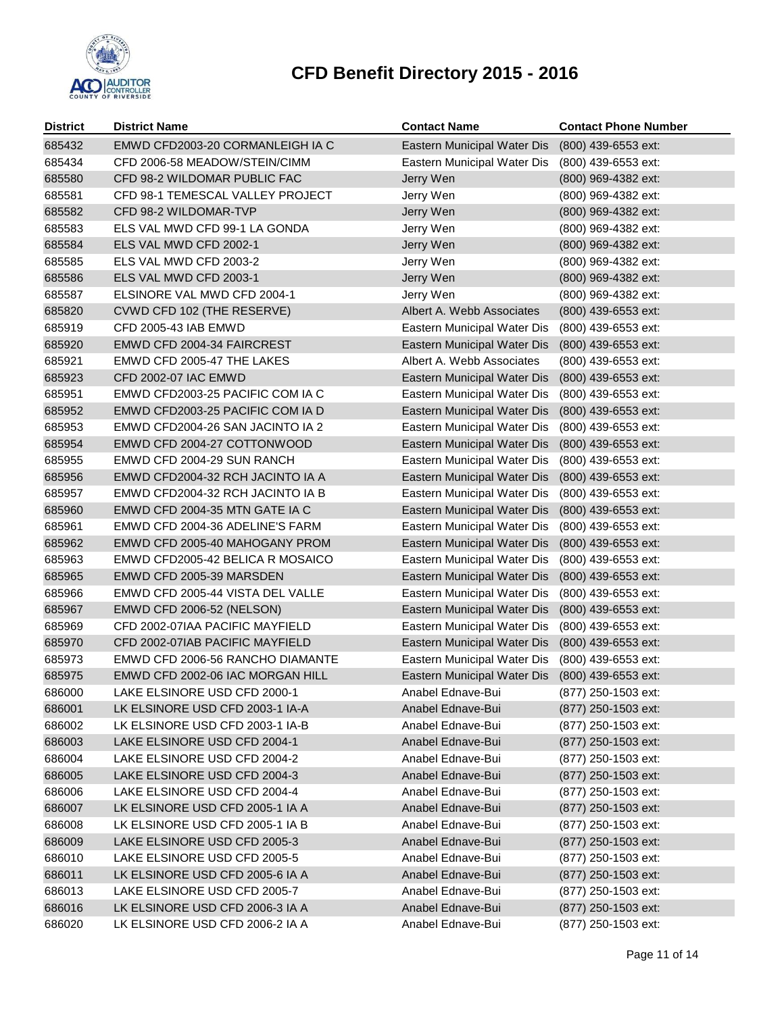

| <b>District</b> | <b>District Name</b>             | <b>Contact Name</b>         | <b>Contact Phone Number</b> |
|-----------------|----------------------------------|-----------------------------|-----------------------------|
| 685432          | EMWD CFD2003-20 CORMANLEIGH IA C | Eastern Municipal Water Dis | (800) 439-6553 ext:         |
| 685434          | CFD 2006-58 MEADOW/STEIN/CIMM    | Eastern Municipal Water Dis | (800) 439-6553 ext:         |
| 685580          | CFD 98-2 WILDOMAR PUBLIC FAC     | Jerry Wen                   | (800) 969-4382 ext:         |
| 685581          | CFD 98-1 TEMESCAL VALLEY PROJECT | Jerry Wen                   | (800) 969-4382 ext:         |
| 685582          | CFD 98-2 WILDOMAR-TVP            | Jerry Wen                   | (800) 969-4382 ext:         |
| 685583          | ELS VAL MWD CFD 99-1 LA GONDA    | Jerry Wen                   | (800) 969-4382 ext:         |
| 685584          | ELS VAL MWD CFD 2002-1           | Jerry Wen                   | (800) 969-4382 ext:         |
| 685585          | ELS VAL MWD CFD 2003-2           | Jerry Wen                   | (800) 969-4382 ext:         |
| 685586          | ELS VAL MWD CFD 2003-1           | Jerry Wen                   | (800) 969-4382 ext:         |
| 685587          | ELSINORE VAL MWD CFD 2004-1      | Jerry Wen                   | (800) 969-4382 ext:         |
| 685820          | CVWD CFD 102 (THE RESERVE)       | Albert A. Webb Associates   | (800) 439-6553 ext:         |
| 685919          | CFD 2005-43 IAB EMWD             | Eastern Municipal Water Dis | (800) 439-6553 ext:         |
| 685920          | EMWD CFD 2004-34 FAIRCREST       | Eastern Municipal Water Dis | (800) 439-6553 ext:         |
| 685921          | EMWD CFD 2005-47 THE LAKES       | Albert A. Webb Associates   | (800) 439-6553 ext:         |
| 685923          | CFD 2002-07 IAC EMWD             | Eastern Municipal Water Dis | (800) 439-6553 ext:         |
| 685951          | EMWD CFD2003-25 PACIFIC COM IA C | Eastern Municipal Water Dis | (800) 439-6553 ext:         |
| 685952          | EMWD CFD2003-25 PACIFIC COM IA D | Eastern Municipal Water Dis | (800) 439-6553 ext:         |
| 685953          | EMWD CFD2004-26 SAN JACINTO IA 2 | Eastern Municipal Water Dis | (800) 439-6553 ext:         |
| 685954          | EMWD CFD 2004-27 COTTONWOOD      | Eastern Municipal Water Dis | (800) 439-6553 ext:         |
| 685955          | EMWD CFD 2004-29 SUN RANCH       | Eastern Municipal Water Dis | (800) 439-6553 ext:         |
| 685956          | EMWD CFD2004-32 RCH JACINTO IA A | Eastern Municipal Water Dis | (800) 439-6553 ext:         |
| 685957          | EMWD CFD2004-32 RCH JACINTO IA B | Eastern Municipal Water Dis | (800) 439-6553 ext:         |
| 685960          | EMWD CFD 2004-35 MTN GATE IA C   | Eastern Municipal Water Dis | (800) 439-6553 ext:         |
| 685961          | EMWD CFD 2004-36 ADELINE'S FARM  | Eastern Municipal Water Dis | (800) 439-6553 ext:         |
| 685962          | EMWD CFD 2005-40 MAHOGANY PROM   | Eastern Municipal Water Dis | (800) 439-6553 ext:         |
| 685963          | EMWD CFD2005-42 BELICA R MOSAICO | Eastern Municipal Water Dis | (800) 439-6553 ext:         |
| 685965          | EMWD CFD 2005-39 MARSDEN         | Eastern Municipal Water Dis | (800) 439-6553 ext:         |
| 685966          | EMWD CFD 2005-44 VISTA DEL VALLE | Eastern Municipal Water Dis | (800) 439-6553 ext:         |
| 685967          | <b>EMWD CFD 2006-52 (NELSON)</b> | Eastern Municipal Water Dis | (800) 439-6553 ext:         |
| 685969          | CFD 2002-07IAA PACIFIC MAYFIELD  | Eastern Municipal Water Dis | (800) 439-6553 ext:         |
| 685970          | CFD 2002-07IAB PACIFIC MAYFIELD  | Eastern Municipal Water Dis | (800) 439-6553 ext:         |
| 685973          | EMWD CFD 2006-56 RANCHO DIAMANTE | Eastern Municipal Water Dis | (800) 439-6553 ext:         |
| 685975          | EMWD CFD 2002-06 IAC MORGAN HILL | Eastern Municipal Water Dis | (800) 439-6553 ext:         |
| 686000          | LAKE ELSINORE USD CFD 2000-1     | Anabel Ednave-Bui           | (877) 250-1503 ext:         |
| 686001          | LK ELSINORE USD CFD 2003-1 IA-A  | Anabel Ednave-Bui           | (877) 250-1503 ext:         |
| 686002          | LK ELSINORE USD CFD 2003-1 IA-B  | Anabel Ednave-Bui           | (877) 250-1503 ext:         |
| 686003          | LAKE ELSINORE USD CFD 2004-1     | Anabel Ednave-Bui           | (877) 250-1503 ext:         |
| 686004          | LAKE ELSINORE USD CFD 2004-2     | Anabel Ednave-Bui           | (877) 250-1503 ext:         |
| 686005          | LAKE ELSINORE USD CFD 2004-3     | Anabel Ednave-Bui           | (877) 250-1503 ext:         |
| 686006          | LAKE ELSINORE USD CFD 2004-4     | Anabel Ednave-Bui           | (877) 250-1503 ext:         |
| 686007          | LK ELSINORE USD CFD 2005-1 IA A  | Anabel Ednave-Bui           | (877) 250-1503 ext:         |
| 686008          | LK ELSINORE USD CFD 2005-1 IA B  | Anabel Ednave-Bui           | (877) 250-1503 ext:         |
| 686009          | LAKE ELSINORE USD CFD 2005-3     | Anabel Ednave-Bui           | (877) 250-1503 ext:         |
| 686010          | LAKE ELSINORE USD CFD 2005-5     | Anabel Ednave-Bui           | (877) 250-1503 ext:         |
| 686011          | LK ELSINORE USD CFD 2005-6 IA A  | Anabel Ednave-Bui           | (877) 250-1503 ext:         |
| 686013          | LAKE ELSINORE USD CFD 2005-7     | Anabel Ednave-Bui           | (877) 250-1503 ext:         |
| 686016          | LK ELSINORE USD CFD 2006-3 IA A  | Anabel Ednave-Bui           | (877) 250-1503 ext:         |
| 686020          | LK ELSINORE USD CFD 2006-2 IA A  | Anabel Ednave-Bui           | (877) 250-1503 ext:         |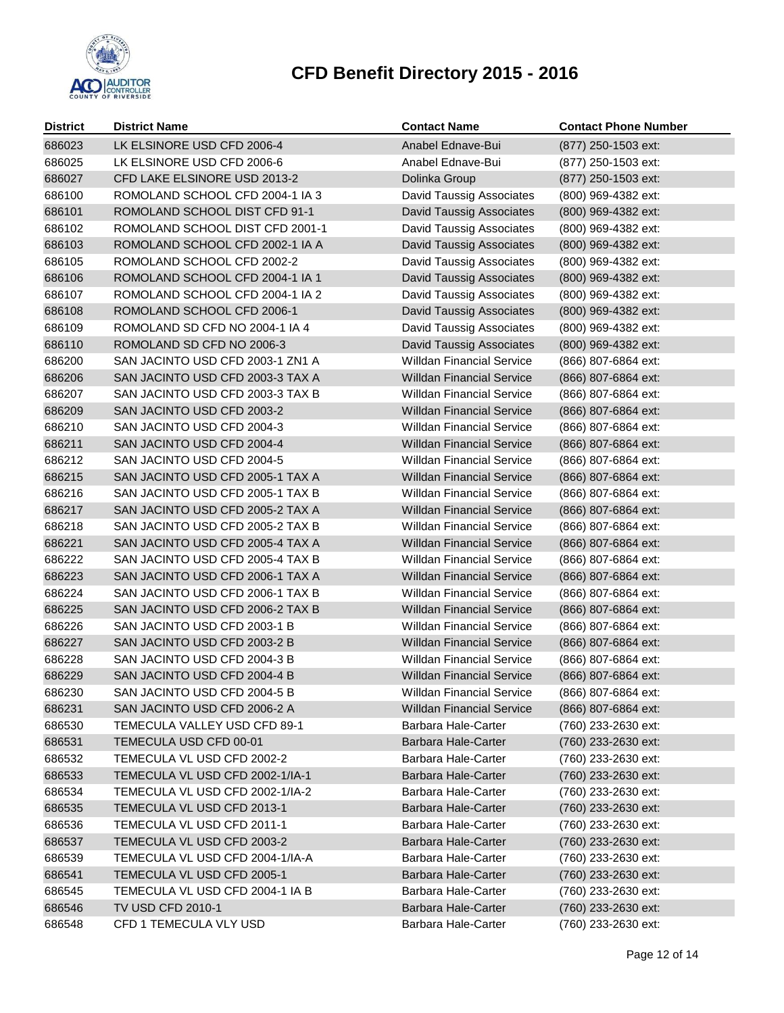

| <b>District</b> | <b>District Name</b>             | <b>Contact Name</b>              | <b>Contact Phone Number</b> |
|-----------------|----------------------------------|----------------------------------|-----------------------------|
| 686023          | LK ELSINORE USD CFD 2006-4       | Anabel Ednave-Bui                | (877) 250-1503 ext:         |
| 686025          | LK ELSINORE USD CFD 2006-6       | Anabel Ednave-Bui                | (877) 250-1503 ext:         |
| 686027          | CFD LAKE ELSINORE USD 2013-2     | Dolinka Group                    | (877) 250-1503 ext:         |
| 686100          | ROMOLAND SCHOOL CFD 2004-1 IA 3  | David Taussig Associates         | (800) 969-4382 ext:         |
| 686101          | ROMOLAND SCHOOL DIST CFD 91-1    | David Taussig Associates         | (800) 969-4382 ext:         |
| 686102          | ROMOLAND SCHOOL DIST CFD 2001-1  | David Taussig Associates         | (800) 969-4382 ext:         |
| 686103          | ROMOLAND SCHOOL CFD 2002-1 IA A  | David Taussig Associates         | (800) 969-4382 ext:         |
| 686105          | ROMOLAND SCHOOL CFD 2002-2       | David Taussig Associates         | (800) 969-4382 ext:         |
| 686106          | ROMOLAND SCHOOL CFD 2004-1 IA 1  | David Taussig Associates         | (800) 969-4382 ext:         |
| 686107          | ROMOLAND SCHOOL CFD 2004-1 IA 2  | David Taussig Associates         | (800) 969-4382 ext:         |
| 686108          | ROMOLAND SCHOOL CFD 2006-1       | David Taussig Associates         | (800) 969-4382 ext:         |
| 686109          | ROMOLAND SD CFD NO 2004-1 IA 4   | David Taussig Associates         | (800) 969-4382 ext:         |
| 686110          | ROMOLAND SD CFD NO 2006-3        | <b>David Taussig Associates</b>  | (800) 969-4382 ext:         |
| 686200          | SAN JACINTO USD CFD 2003-1 ZN1 A | <b>Willdan Financial Service</b> | (866) 807-6864 ext:         |
| 686206          | SAN JACINTO USD CFD 2003-3 TAX A | <b>Willdan Financial Service</b> | (866) 807-6864 ext:         |
| 686207          | SAN JACINTO USD CFD 2003-3 TAX B | <b>Willdan Financial Service</b> | (866) 807-6864 ext:         |
| 686209          | SAN JACINTO USD CFD 2003-2       | <b>Willdan Financial Service</b> | (866) 807-6864 ext:         |
| 686210          | SAN JACINTO USD CFD 2004-3       | <b>Willdan Financial Service</b> | (866) 807-6864 ext:         |
| 686211          | SAN JACINTO USD CFD 2004-4       | <b>Willdan Financial Service</b> | (866) 807-6864 ext:         |
| 686212          | SAN JACINTO USD CFD 2004-5       | <b>Willdan Financial Service</b> | (866) 807-6864 ext:         |
| 686215          | SAN JACINTO USD CFD 2005-1 TAX A | <b>Willdan Financial Service</b> | (866) 807-6864 ext:         |
| 686216          | SAN JACINTO USD CFD 2005-1 TAX B | <b>Willdan Financial Service</b> | (866) 807-6864 ext:         |
| 686217          | SAN JACINTO USD CFD 2005-2 TAX A | <b>Willdan Financial Service</b> | (866) 807-6864 ext:         |
| 686218          | SAN JACINTO USD CFD 2005-2 TAX B | <b>Willdan Financial Service</b> | (866) 807-6864 ext:         |
| 686221          | SAN JACINTO USD CFD 2005-4 TAX A | <b>Willdan Financial Service</b> | (866) 807-6864 ext:         |
| 686222          | SAN JACINTO USD CFD 2005-4 TAX B | <b>Willdan Financial Service</b> | (866) 807-6864 ext:         |
| 686223          | SAN JACINTO USD CFD 2006-1 TAX A | <b>Willdan Financial Service</b> | (866) 807-6864 ext:         |
| 686224          | SAN JACINTO USD CFD 2006-1 TAX B | Willdan Financial Service        | (866) 807-6864 ext:         |
| 686225          | SAN JACINTO USD CFD 2006-2 TAX B | <b>Willdan Financial Service</b> | (866) 807-6864 ext:         |
| 686226          | SAN JACINTO USD CFD 2003-1 B     | <b>Willdan Financial Service</b> | (866) 807-6864 ext:         |
| 686227          | SAN JACINTO USD CFD 2003-2 B     | <b>Willdan Financial Service</b> | (866) 807-6864 ext:         |
| 686228          | SAN JACINTO USD CFD 2004-3 B     | <b>Willdan Financial Service</b> | (866) 807-6864 ext:         |
| 686229          | SAN JACINTO USD CFD 2004-4 B     | <b>Willdan Financial Service</b> | (866) 807-6864 ext:         |
| 686230          | SAN JACINTO USD CFD 2004-5 B     | Willdan Financial Service        | (866) 807-6864 ext:         |
| 686231          | SAN JACINTO USD CFD 2006-2 A     | <b>Willdan Financial Service</b> | (866) 807-6864 ext:         |
| 686530          | TEMECULA VALLEY USD CFD 89-1     | Barbara Hale-Carter              | (760) 233-2630 ext:         |
| 686531          | TEMECULA USD CFD 00-01           | <b>Barbara Hale-Carter</b>       | (760) 233-2630 ext:         |
| 686532          | TEMECULA VL USD CFD 2002-2       | Barbara Hale-Carter              | (760) 233-2630 ext:         |
| 686533          | TEMECULA VL USD CFD 2002-1/IA-1  | Barbara Hale-Carter              | (760) 233-2630 ext:         |
| 686534          | TEMECULA VL USD CFD 2002-1/IA-2  | Barbara Hale-Carter              | (760) 233-2630 ext:         |
| 686535          | TEMECULA VL USD CFD 2013-1       | Barbara Hale-Carter              | (760) 233-2630 ext:         |
| 686536          | TEMECULA VL USD CFD 2011-1       | Barbara Hale-Carter              | (760) 233-2630 ext:         |
| 686537          | TEMECULA VL USD CFD 2003-2       | Barbara Hale-Carter              | (760) 233-2630 ext:         |
| 686539          | TEMECULA VL USD CFD 2004-1/IA-A  | Barbara Hale-Carter              | (760) 233-2630 ext:         |
| 686541          | TEMECULA VL USD CFD 2005-1       | Barbara Hale-Carter              | (760) 233-2630 ext:         |
| 686545          | TEMECULA VL USD CFD 2004-1 IA B  | Barbara Hale-Carter              | (760) 233-2630 ext:         |
| 686546          | <b>TV USD CFD 2010-1</b>         | Barbara Hale-Carter              | (760) 233-2630 ext:         |
| 686548          | CFD 1 TEMECULA VLY USD           | Barbara Hale-Carter              | (760) 233-2630 ext:         |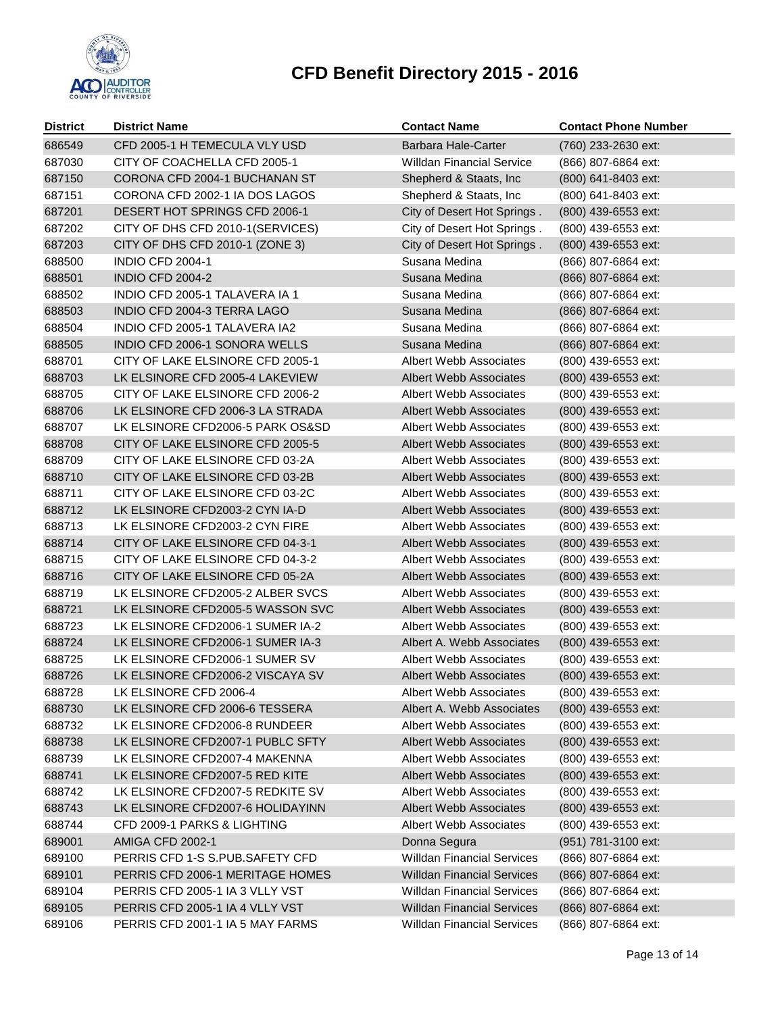

| <b>District</b> | <b>District Name</b>             | <b>Contact Name</b>               | <b>Contact Phone Number</b> |
|-----------------|----------------------------------|-----------------------------------|-----------------------------|
| 686549          | CFD 2005-1 H TEMECULA VLY USD    | Barbara Hale-Carter               | (760) 233-2630 ext:         |
| 687030          | CITY OF COACHELLA CFD 2005-1     | <b>Willdan Financial Service</b>  | (866) 807-6864 ext:         |
| 687150          | CORONA CFD 2004-1 BUCHANAN ST    | Shepherd & Staats, Inc            | (800) 641-8403 ext:         |
| 687151          | CORONA CFD 2002-1 IA DOS LAGOS   | Shepherd & Staats, Inc.           | (800) 641-8403 ext:         |
| 687201          | DESERT HOT SPRINGS CFD 2006-1    | City of Desert Hot Springs.       | (800) 439-6553 ext:         |
| 687202          | CITY OF DHS CFD 2010-1(SERVICES) | City of Desert Hot Springs.       | (800) 439-6553 ext:         |
| 687203          | CITY OF DHS CFD 2010-1 (ZONE 3)  | City of Desert Hot Springs.       | (800) 439-6553 ext:         |
| 688500          | <b>INDIO CFD 2004-1</b>          | Susana Medina                     | (866) 807-6864 ext:         |
| 688501          | <b>INDIO CFD 2004-2</b>          | Susana Medina                     | (866) 807-6864 ext:         |
| 688502          | INDIO CFD 2005-1 TALAVERA IA 1   | Susana Medina                     | (866) 807-6864 ext:         |
| 688503          | INDIO CFD 2004-3 TERRA LAGO      | Susana Medina                     | (866) 807-6864 ext:         |
| 688504          | INDIO CFD 2005-1 TALAVERA IA2    | Susana Medina                     | (866) 807-6864 ext:         |
| 688505          | INDIO CFD 2006-1 SONORA WELLS    | Susana Medina                     | (866) 807-6864 ext:         |
| 688701          | CITY OF LAKE ELSINORE CFD 2005-1 | <b>Albert Webb Associates</b>     | (800) 439-6553 ext:         |
| 688703          | LK ELSINORE CFD 2005-4 LAKEVIEW  | <b>Albert Webb Associates</b>     | (800) 439-6553 ext:         |
| 688705          | CITY OF LAKE ELSINORE CFD 2006-2 | <b>Albert Webb Associates</b>     | (800) 439-6553 ext:         |
| 688706          | LK ELSINORE CFD 2006-3 LA STRADA | <b>Albert Webb Associates</b>     | (800) 439-6553 ext:         |
| 688707          | LK ELSINORE CFD2006-5 PARK OS&SD | Albert Webb Associates            | (800) 439-6553 ext:         |
| 688708          | CITY OF LAKE ELSINORE CFD 2005-5 | <b>Albert Webb Associates</b>     | (800) 439-6553 ext:         |
| 688709          | CITY OF LAKE ELSINORE CFD 03-2A  | Albert Webb Associates            | (800) 439-6553 ext:         |
| 688710          | CITY OF LAKE ELSINORE CFD 03-2B  | <b>Albert Webb Associates</b>     | (800) 439-6553 ext:         |
| 688711          | CITY OF LAKE ELSINORE CFD 03-2C  | <b>Albert Webb Associates</b>     | (800) 439-6553 ext:         |
| 688712          | LK ELSINORE CFD2003-2 CYN IA-D   | <b>Albert Webb Associates</b>     | (800) 439-6553 ext:         |
| 688713          | LK ELSINORE CFD2003-2 CYN FIRE   | <b>Albert Webb Associates</b>     | (800) 439-6553 ext:         |
| 688714          | CITY OF LAKE ELSINORE CFD 04-3-1 | <b>Albert Webb Associates</b>     | (800) 439-6553 ext:         |
| 688715          | CITY OF LAKE ELSINORE CFD 04-3-2 | Albert Webb Associates            | (800) 439-6553 ext:         |
| 688716          | CITY OF LAKE ELSINORE CFD 05-2A  | <b>Albert Webb Associates</b>     | (800) 439-6553 ext:         |
| 688719          | LK ELSINORE CFD2005-2 ALBER SVCS | <b>Albert Webb Associates</b>     | (800) 439-6553 ext:         |
| 688721          | LK ELSINORE CFD2005-5 WASSON SVC | <b>Albert Webb Associates</b>     | (800) 439-6553 ext:         |
| 688723          | LK ELSINORE CFD2006-1 SUMER IA-2 | <b>Albert Webb Associates</b>     | (800) 439-6553 ext:         |
| 688724          | LK ELSINORE CFD2006-1 SUMER IA-3 | Albert A. Webb Associates         | (800) 439-6553 ext:         |
| 688725          | LK ELSINORE CFD2006-1 SUMER SV   | Albert Webb Associates            | (800) 439-6553 ext:         |
| 688726          | LK ELSINORE CFD2006-2 VISCAYA SV | Albert Webb Associates            | (800) 439-6553 ext:         |
| 688728          | LK ELSINORE CFD 2006-4           | Albert Webb Associates            | (800) 439-6553 ext:         |
| 688730          | LK ELSINORE CFD 2006-6 TESSERA   | Albert A. Webb Associates         | (800) 439-6553 ext:         |
| 688732          | LK ELSINORE CFD2006-8 RUNDEER    | <b>Albert Webb Associates</b>     | (800) 439-6553 ext:         |
| 688738          | LK ELSINORE CFD2007-1 PUBLC SFTY | <b>Albert Webb Associates</b>     | (800) 439-6553 ext:         |
| 688739          | LK ELSINORE CFD2007-4 MAKENNA    | <b>Albert Webb Associates</b>     | (800) 439-6553 ext:         |
| 688741          | LK ELSINORE CFD2007-5 RED KITE   | <b>Albert Webb Associates</b>     | (800) 439-6553 ext:         |
| 688742          | LK ELSINORE CFD2007-5 REDKITE SV | <b>Albert Webb Associates</b>     | (800) 439-6553 ext:         |
| 688743          | LK ELSINORE CFD2007-6 HOLIDAYINN | <b>Albert Webb Associates</b>     | (800) 439-6553 ext:         |
| 688744          | CFD 2009-1 PARKS & LIGHTING      | <b>Albert Webb Associates</b>     | (800) 439-6553 ext:         |
| 689001          | <b>AMIGA CFD 2002-1</b>          | Donna Segura                      | (951) 781-3100 ext:         |
| 689100          | PERRIS CFD 1-S S.PUB.SAFETY CFD  | <b>Willdan Financial Services</b> | (866) 807-6864 ext:         |
| 689101          | PERRIS CFD 2006-1 MERITAGE HOMES | <b>Willdan Financial Services</b> | (866) 807-6864 ext:         |
| 689104          | PERRIS CFD 2005-1 IA 3 VLLY VST  | <b>Willdan Financial Services</b> | (866) 807-6864 ext:         |
| 689105          | PERRIS CFD 2005-1 IA 4 VLLY VST  | <b>Willdan Financial Services</b> | (866) 807-6864 ext:         |
| 689106          | PERRIS CFD 2001-1 IA 5 MAY FARMS | <b>Willdan Financial Services</b> | (866) 807-6864 ext:         |